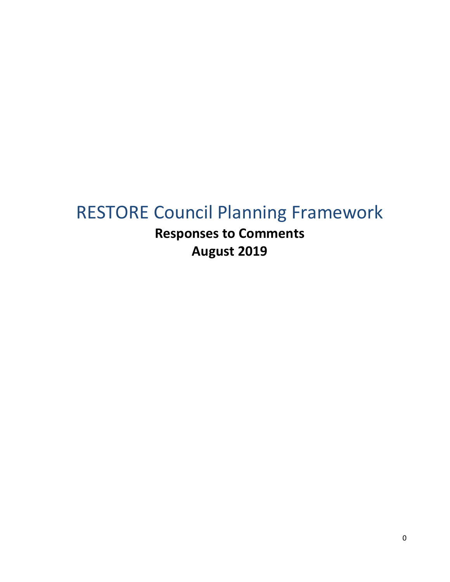# RESTORE Council Planning Framework

**Responses to Comments August 2019**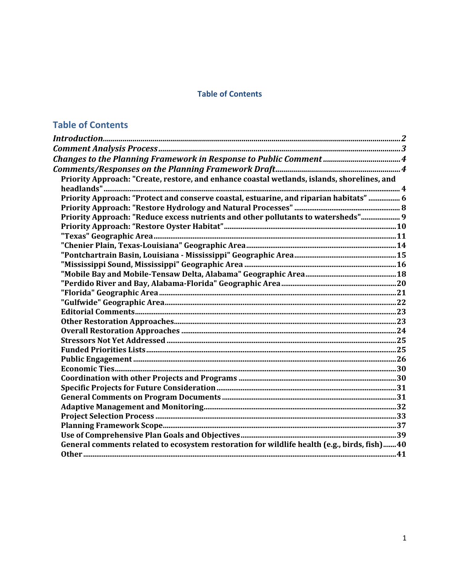# **Table of Contents**

# **Table of Contents**

| Priority Approach: "Create, restore, and enhance coastal wetlands, islands, shorelines, and |  |
|---------------------------------------------------------------------------------------------|--|
|                                                                                             |  |
| Priority Approach: "Protect and conserve coastal, estuarine, and riparian habitats"  6      |  |
|                                                                                             |  |
| Priority Approach: "Reduce excess nutrients and other pollutants to watersheds" 9           |  |
|                                                                                             |  |
|                                                                                             |  |
|                                                                                             |  |
|                                                                                             |  |
|                                                                                             |  |
|                                                                                             |  |
|                                                                                             |  |
|                                                                                             |  |
|                                                                                             |  |
|                                                                                             |  |
|                                                                                             |  |
|                                                                                             |  |
|                                                                                             |  |
|                                                                                             |  |
|                                                                                             |  |
|                                                                                             |  |
|                                                                                             |  |
|                                                                                             |  |
|                                                                                             |  |
|                                                                                             |  |
|                                                                                             |  |
|                                                                                             |  |
|                                                                                             |  |
| General comments related to ecosystem restoration for wildlife health (e.g., birds, fish)40 |  |
|                                                                                             |  |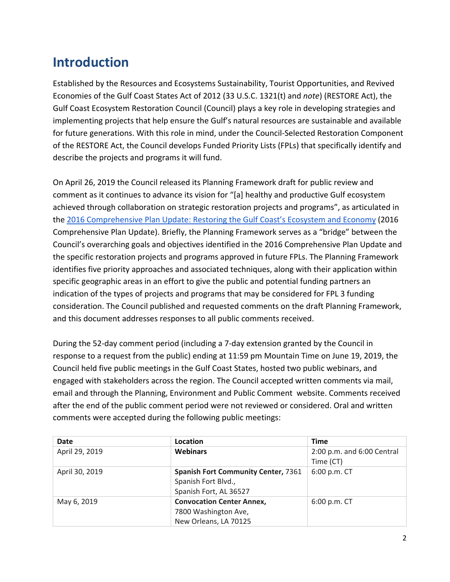# <span id="page-2-0"></span>**Introduction**

Established by the Resources and Ecosystems Sustainability, Tourist Opportunities, and Revived Economies of the Gulf Coast States Act of 2012 (33 U.S.C. 1321(t) and *note*) (RESTORE Act), the Gulf Coast Ecosystem Restoration Council (Council) plays a key role in developing strategies and implementing projects that help ensure the Gulf's natural resources are sustainable and available for future generations. With this role in mind, under the Council-Selected Restoration Component of the RESTORE Act, the Council develops Funded Priority Lists (FPLs) that specifically identify and describe the projects and programs it will fund.

On April 26, 2019 the Council released its Planning Framework draft for public review and comment as it continues to advance its vision for "[a] healthy and productive Gulf ecosystem achieved through collaboration on strategic restoration projects and programs", as articulated in the [2016 Comprehensive Plan Update: Restoring the Gulf Coast's Ecosystem and Economy](https://www.restorethegulf.gov/sites/default/files/CO-PL_20161208_CompPlanUpdate_English.pdf) (2016 Comprehensive Plan Update). Briefly, the Planning Framework serves as a "bridge" between the Council's overarching goals and objectives identified in the 2016 Comprehensive Plan Update and the specific restoration projects and programs approved in future FPLs. The Planning Framework identifies five priority approaches and associated techniques, along with their application within specific geographic areas in an effort to give the public and potential funding partners an indication of the types of projects and programs that may be considered for FPL 3 funding consideration. The Council published and requested comments on the draft Planning Framework, and this document addresses responses to all public comments received.

During the 52-day comment period (including a 7-day extension granted by the Council in response to a request from the public) ending at 11:59 pm Mountain Time on June 19, 2019, the Council held five public meetings in the Gulf Coast States, hosted two public webinars, and engaged with stakeholders across the region. The Council accepted written comments via mail, email and through the Planning, Environment and Public Comment website. Comments received after the end of the public comment period were not reviewed or considered. Oral and written comments were accepted during the following public meetings:

| Date           | Location                                   | <b>Time</b>                |
|----------------|--------------------------------------------|----------------------------|
| April 29, 2019 | <b>Webinars</b>                            | 2:00 p.m. and 6:00 Central |
|                |                                            | Time (CT)                  |
| April 30, 2019 | <b>Spanish Fort Community Center, 7361</b> | 6:00 p.m. CT               |
|                | Spanish Fort Blvd.,                        |                            |
|                | Spanish Fort, AL 36527                     |                            |
| May 6, 2019    | <b>Convocation Center Annex,</b>           | 6:00 p.m. CT               |
|                | 7800 Washington Ave,                       |                            |
|                | New Orleans, LA 70125                      |                            |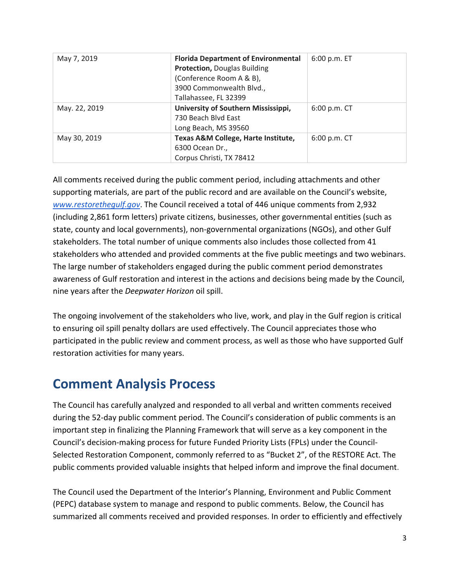| May 7, 2019   | <b>Florida Department of Environmental</b> | 6:00 p.m. ET |
|---------------|--------------------------------------------|--------------|
|               | <b>Protection, Douglas Building</b>        |              |
|               | (Conference Room A & B),                   |              |
|               | 3900 Commonwealth Blvd.,                   |              |
|               | Tallahassee, FL 32399                      |              |
| May. 22, 2019 | University of Southern Mississippi,        | 6:00 p.m. CT |
|               | 730 Beach Blyd East                        |              |
|               | Long Beach, MS 39560                       |              |
| May 30, 2019  | Texas A&M College, Harte Institute,        | 6:00 p.m. CT |
|               | 6300 Ocean Dr.,                            |              |
|               | Corpus Christi, TX 78412                   |              |

All comments received during the public comment period, including attachments and other supporting materials, are part of the public record and are available on the Council's website[,](http://www.restorethegulf.gov/) *[www.restorethegulf.gov](http://www.restorethegulf.gov/)*. The Council received a total of 446 unique comments from 2,932 (including 2,861 form letters) private citizens, businesses, other governmental entities (such as state, county and local governments), non-governmental organizations (NGOs), and other Gulf stakeholders. The total number of unique comments also includes those collected from 41 stakeholders who attended and provided comments at the five public meetings and two webinars. The large number of stakeholders engaged during the public comment period demonstrates awareness of Gulf restoration and interest in the actions and decisions being made by the Council, nine years after the *Deepwater Horizon* oil spill.

The ongoing involvement of the stakeholders who live, work, and play in the Gulf region is critical to ensuring oil spill penalty dollars are used effectively. The Council appreciates those who participated in the public review and comment process, as well as those who have supported Gulf restoration activities for many years.

# <span id="page-3-0"></span>**Comment Analysis Process**

The Council has carefully analyzed and responded to all verbal and written comments received during the 52-day public comment period. The Council's consideration of public comments is an important step in finalizing the Planning Framework that will serve as a key component in the Council's decision-making process for future Funded Priority Lists (FPLs) under the Council-Selected Restoration Component, commonly referred to as "Bucket 2", of the RESTORE Act. The public comments provided valuable insights that helped inform and improve the final document.

The Council used the Department of the Interior's Planning, Environment and Public Comment (PEPC) database system to manage and respond to public comments. Below, the Council has summarized all comments received and provided responses. In order to efficiently and effectively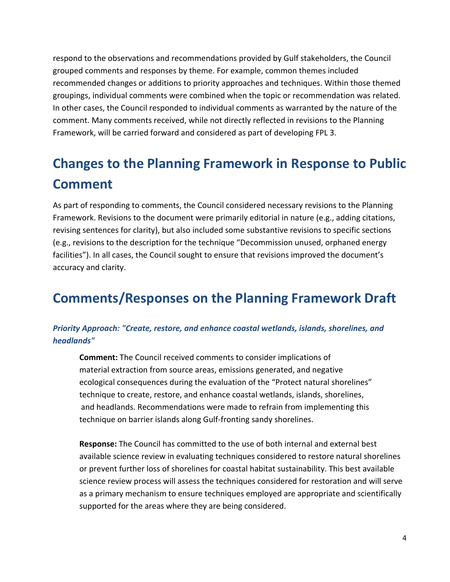respond to the observations and recommendations provided by Gulf stakeholders, the Council grouped comments and responses by theme. For example, common themes included recommended changes or additions to priority approaches and techniques. Within those themed groupings, individual comments were combined when the topic or recommendation was related. In other cases, the Council responded to individual comments as warranted by the nature of the comment. Many comments received, while not directly reflected in revisions to the Planning Framework, will be carried forward and considered as part of developing FPL 3.

# <span id="page-4-0"></span>**Changes to the Planning Framework in Response to Public Comment**

As part of responding to comments, the Council considered necessary revisions to the Planning Framework. Revisions to the document were primarily editorial in nature (e.g., adding citations, revising sentences for clarity), but also included some substantive revisions to specific sections (e.g., revisions to the description for the technique "Decommission unused, orphaned energy facilities"). In all cases, the Council sought to ensure that revisions improved the document's accuracy and clarity.

# <span id="page-4-1"></span>**Comments/Responses on the Planning Framework Draft**

# <span id="page-4-2"></span>*Priority Approach: "Create, restore, and enhance coastal wetlands, islands, shorelines, and headlands"*

**Comment:** The Council received comments to consider implications of material extraction from source areas, emissions generated, and negative ecological consequences during the evaluation of the "Protect natural shorelines" technique to create, restore, and enhance coastal wetlands, islands, shorelines, and headlands. Recommendations were made to refrain from implementing this technique on barrier islands along Gulf-fronting sandy shorelines.

**Response:** The Council has committed to the use of both internal and external best available science review in evaluating techniques considered to restore natural shorelines or prevent further loss of shorelines for coastal habitat sustainability. This best available science review process will assess the techniques considered for restoration and will serve as a primary mechanism to ensure techniques employed are appropriate and scientifically supported for the areas where they are being considered.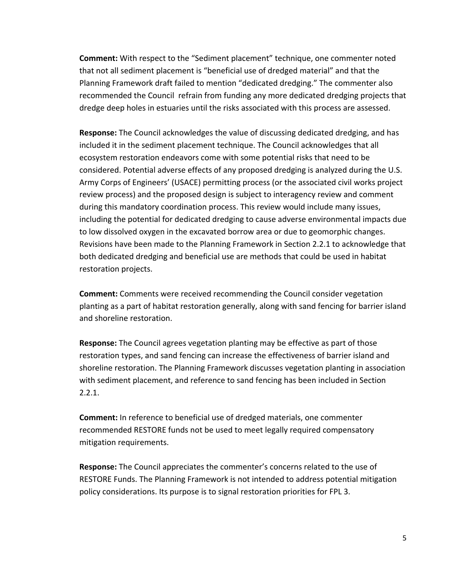**Comment:** With respect to the "Sediment placement" technique, one commenter noted that not all sediment placement is "beneficial use of dredged material" and that the Planning Framework draft failed to mention "dedicated dredging." The commenter also recommended the Council refrain from funding any more dedicated dredging projects that dredge deep holes in estuaries until the risks associated with this process are assessed.

**Response:** The Council acknowledges the value of discussing dedicated dredging, and has included it in the sediment placement technique. The Council acknowledges that all ecosystem restoration endeavors come with some potential risks that need to be considered. Potential adverse effects of any proposed dredging is analyzed during the U.S. Army Corps of Engineers' (USACE) permitting process (or the associated civil works project review process) and the proposed design is subject to interagency review and comment during this mandatory coordination process. This review would include many issues, including the potential for dedicated dredging to cause adverse environmental impacts due to low dissolved oxygen in the excavated borrow area or due to geomorphic changes. Revisions have been made to the Planning Framework in Section 2.2.1 to acknowledge that both dedicated dredging and beneficial use are methods that could be used in habitat restoration projects.

**Comment:** Comments were received recommending the Council consider vegetation planting as a part of habitat restoration generally, along with sand fencing for barrier island and shoreline restoration.

**Response:** The Council agrees vegetation planting may be effective as part of those restoration types, and sand fencing can increase the effectiveness of barrier island and shoreline restoration. The Planning Framework discusses vegetation planting in association with sediment placement, and reference to sand fencing has been included in Section 2.2.1.

**Comment:** In reference to beneficial use of dredged materials, one commenter recommended RESTORE funds not be used to meet legally required compensatory mitigation requirements.

**Response:** The Council appreciates the commenter's concerns related to the use of RESTORE Funds. The Planning Framework is not intended to address potential mitigation policy considerations. Its purpose is to signal restoration priorities for FPL 3.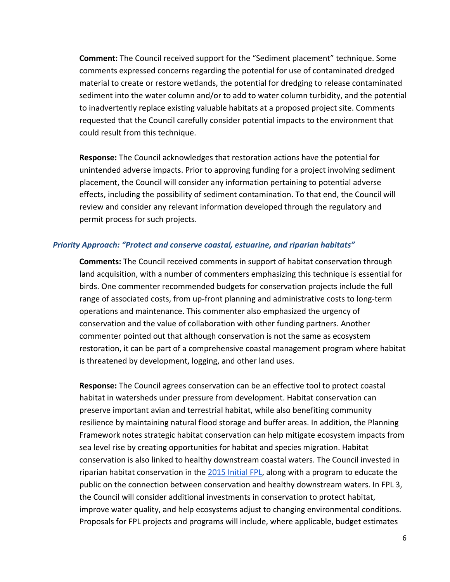**Comment:** The Council received support for the "Sediment placement" technique. Some comments expressed concerns regarding the potential for use of contaminated dredged material to create or restore wetlands, the potential for dredging to release contaminated sediment into the water column and/or to add to water column turbidity, and the potential to inadvertently replace existing valuable habitats at a proposed project site. Comments requested that the Council carefully consider potential impacts to the environment that could result from this technique.

**Response:** The Council acknowledges that restoration actions have the potential for unintended adverse impacts. Prior to approving funding for a project involving sediment placement, the Council will consider any information pertaining to potential adverse effects, including the possibility of sediment contamination. To that end, the Council will review and consider any relevant information developed through the regulatory and permit process for such projects.

#### <span id="page-6-0"></span>*Priority Approach: "Protect and conserve coastal, estuarine, and riparian habitats"*

**Comments:** The Council received comments in support of habitat conservation through land acquisition, with a number of commenters emphasizing this technique is essential for birds. One commenter recommended budgets for conservation projects include the full range of associated costs, from up-front planning and administrative costs to long-term operations and maintenance. This commenter also emphasized the urgency of conservation and the value of collaboration with other funding partners. Another commenter pointed out that although conservation is not the same as ecosystem restoration, it can be part of a comprehensive coastal management program where habitat is threatened by development, logging, and other land uses.

**Response:** The Council agrees conservation can be an effective tool to protect coastal habitat in watersheds under pressure from development. Habitat conservation can preserve important avian and terrestrial habitat, while also benefiting community resilience by maintaining natural flood storage and buffer areas. In addition, the Planning Framework notes strategic habitat conservation can help mitigate ecosystem impacts from sea level rise by creating opportunities for habitat and species migration. Habitat conservation is also linked to healthy downstream coastal waters. The Council invested in riparian habitat conservation in the [2015 Initial FPL,](https://restorethegulf.gov/sites/default/files/FPL_forDec9Vote_Errata_04-07-2016.pdf) along with a program to educate the public on the connection between conservation and healthy downstream waters. In FPL 3, the Council will consider additional investments in conservation to protect habitat, improve water quality, and help ecosystems adjust to changing environmental conditions. Proposals for FPL projects and programs will include, where applicable, budget estimates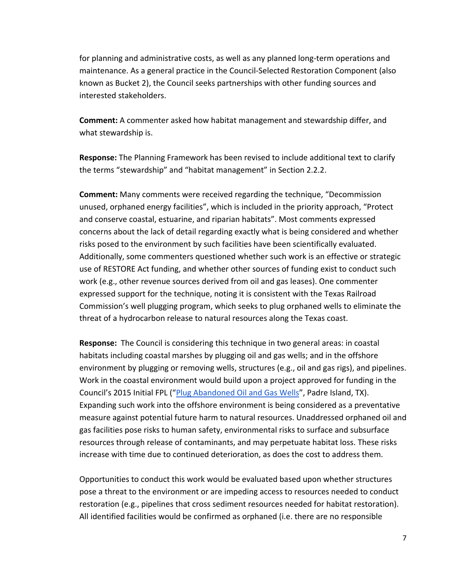for planning and administrative costs, as well as any planned long-term operations and maintenance. As a general practice in the Council-Selected Restoration Component (also known as Bucket 2), the Council seeks partnerships with other funding sources and interested stakeholders.

**Comment:** A commenter asked how habitat management and stewardship differ, and what stewardship is.

**Response:** The Planning Framework has been revised to include additional text to clarify the terms "stewardship" and "habitat management" in Section 2.2.2.

**Comment:** Many comments were received regarding the technique, "Decommission unused, orphaned energy facilities", which is included in the priority approach, "Protect and conserve coastal, estuarine, and riparian habitats". Most comments expressed concerns about the lack of detail regarding exactly what is being considered and whether risks posed to the environment by such facilities have been scientifically evaluated. Additionally, some commenters questioned whether such work is an effective or strategic use of RESTORE Act funding, and whether other sources of funding exist to conduct such work (e.g., other revenue sources derived from oil and gas leases). One commenter expressed support for the technique, noting it is consistent with the Texas Railroad Commission's well plugging program, which seeks to plug orphaned wells to eliminate the threat of a hydrocarbon release to natural resources along the Texas coast.

**Response:** The Council is considering this technique in two general areas: in coastal habitats including coastal marshes by plugging oil and gas wells; and in the offshore environment by plugging or removing wells, structures (e.g., oil and gas rigs), and pipelines. Work in the coastal environment would build upon a project approved for funding in the Council's 2015 Initial FPL (["Plug Abandoned Oil and Gas Wells"](https://s3.amazonaws.com/gcerc.documents/fpl.factsheets.final/FPL_FS_A_TX+Oil+Wells+v11.15.15.pdf), Padre Island, TX). Expanding such work into the offshore environment is being considered as a preventative measure against potential future harm to natural resources. Unaddressed orphaned oil and gas facilities pose risks to human safety, environmental risks to surface and subsurface resources through release of contaminants, and may perpetuate habitat loss. These risks increase with time due to continued deterioration, as does the cost to address them.

Opportunities to conduct this work would be evaluated based upon whether structures pose a threat to the environment or are impeding access to resources needed to conduct restoration (e.g., pipelines that cross sediment resources needed for habitat restoration). All identified facilities would be confirmed as orphaned (i.e. there are no responsible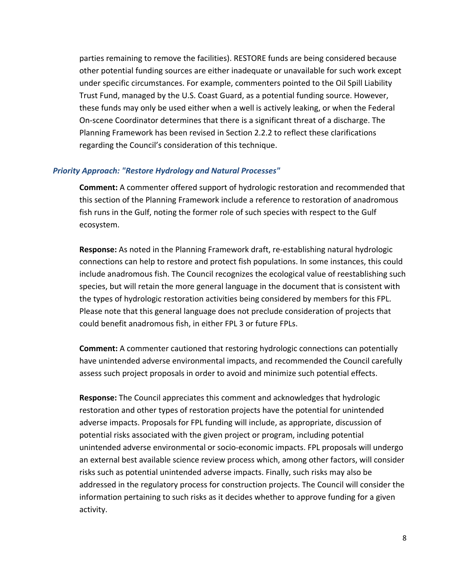parties remaining to remove the facilities). RESTORE funds are being considered because other potential funding sources are either inadequate or unavailable for such work except under specific circumstances. For example, commenters pointed to the Oil Spill Liability Trust Fund, managed by the U.S. Coast Guard, as a potential funding source. However, these funds may only be used either when a well is actively leaking, or when the Federal On-scene Coordinator determines that there is a significant threat of a discharge. The Planning Framework has been revised in Section 2.2.2 to reflect these clarifications regarding the Council's consideration of this technique.

#### <span id="page-8-0"></span>*Priority Approach: "Restore Hydrology and Natural Processes"*

**Comment:** A commenter offered support of hydrologic restoration and recommended that this section of the Planning Framework include a reference to restoration of anadromous fish runs in the Gulf, noting the former role of such species with respect to the Gulf ecosystem.

**Response:** As noted in the Planning Framework draft, re-establishing natural hydrologic connections can help to restore and protect fish populations. In some instances, this could include anadromous fish. The Council recognizes the ecological value of reestablishing such species, but will retain the more general language in the document that is consistent with the types of hydrologic restoration activities being considered by members for this FPL. Please note that this general language does not preclude consideration of projects that could benefit anadromous fish, in either FPL 3 or future FPLs.

**Comment:** A commenter cautioned that restoring hydrologic connections can potentially have unintended adverse environmental impacts, and recommended the Council carefully assess such project proposals in order to avoid and minimize such potential effects.

**Response:** The Council appreciates this comment and acknowledges that hydrologic restoration and other types of restoration projects have the potential for unintended adverse impacts. Proposals for FPL funding will include, as appropriate, discussion of potential risks associated with the given project or program, including potential unintended adverse environmental or socio-economic impacts. FPL proposals will undergo an external best available science review process which, among other factors, will consider risks such as potential unintended adverse impacts. Finally, such risks may also be addressed in the regulatory process for construction projects. The Council will consider the information pertaining to such risks as it decides whether to approve funding for a given activity.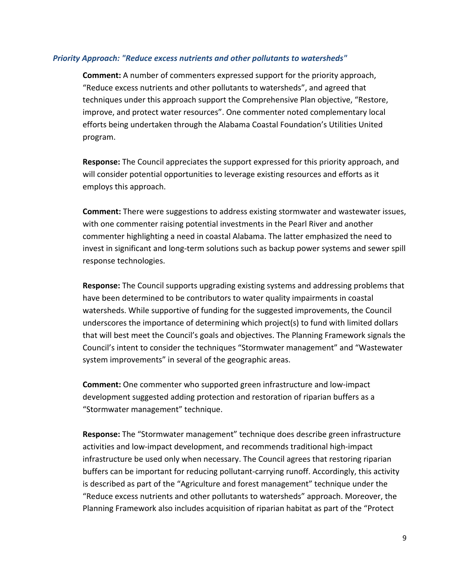#### <span id="page-9-0"></span>*Priority Approach: "Reduce excess nutrients and other pollutants to watersheds"*

**Comment:** A number of commenters expressed support for the priority approach, "Reduce excess nutrients and other pollutants to watersheds", and agreed that techniques under this approach support the Comprehensive Plan objective, "Restore, improve, and protect water resources". One commenter noted complementary local efforts being undertaken through the Alabama Coastal Foundation's Utilities United program.

**Response:** The Council appreciates the support expressed for this priority approach, and will consider potential opportunities to leverage existing resources and efforts as it employs this approach.

**Comment:** There were suggestions to address existing stormwater and wastewater issues, with one commenter raising potential investments in the Pearl River and another commenter highlighting a need in coastal Alabama. The latter emphasized the need to invest in significant and long-term solutions such as backup power systems and sewer spill response technologies.

**Response:** The Council supports upgrading existing systems and addressing problems that have been determined to be contributors to water quality impairments in coastal watersheds. While supportive of funding for the suggested improvements, the Council underscores the importance of determining which project(s) to fund with limited dollars that will best meet the Council's goals and objectives. The Planning Framework signals the Council's intent to consider the techniques "Stormwater management" and "Wastewater system improvements" in several of the geographic areas.

**Comment:** One commenter who supported green infrastructure and low-impact development suggested adding protection and restoration of riparian buffers as a "Stormwater management" technique.

**Response:** The "Stormwater management" technique does describe green infrastructure activities and low-impact development, and recommends traditional high-impact infrastructure be used only when necessary. The Council agrees that restoring riparian buffers can be important for reducing pollutant-carrying runoff. Accordingly, this activity is described as part of the "Agriculture and forest management" technique under the "Reduce excess nutrients and other pollutants to watersheds" approach. Moreover, the Planning Framework also includes acquisition of riparian habitat as part of the "Protect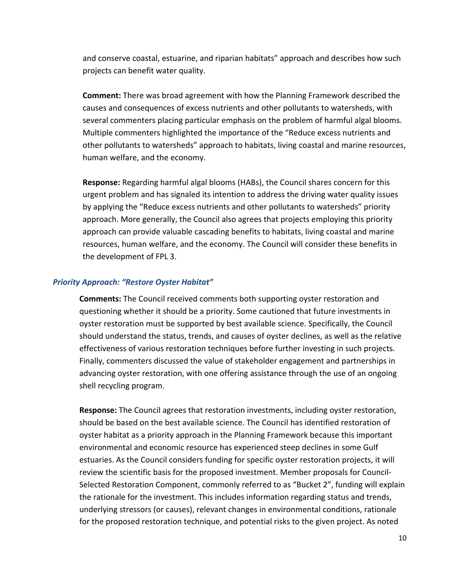and conserve coastal, estuarine, and riparian habitats" approach and describes how such projects can benefit water quality.

**Comment:** There was broad agreement with how the Planning Framework described the causes and consequences of excess nutrients and other pollutants to watersheds, with several commenters placing particular emphasis on the problem of harmful algal blooms. Multiple commenters highlighted the importance of the "Reduce excess nutrients and other pollutants to watersheds" approach to habitats, living coastal and marine resources, human welfare, and the economy.

**Response:** Regarding harmful algal blooms (HABs), the Council shares concern for this urgent problem and has signaled its intention to address the driving water quality issues by applying the "Reduce excess nutrients and other pollutants to watersheds" priority approach. More generally, the Council also agrees that projects employing this priority approach can provide valuable cascading benefits to habitats, living coastal and marine resources, human welfare, and the economy. The Council will consider these benefits in the development of FPL 3.

#### <span id="page-10-0"></span>*Priority Approach: "Restore Oyster Habitat"*

**Comments:** The Council received comments both supporting oyster restoration and questioning whether it should be a priority. Some cautioned that future investments in oyster restoration must be supported by best available science. Specifically, the Council should understand the status, trends, and causes of oyster declines, as well as the relative effectiveness of various restoration techniques before further investing in such projects. Finally, commenters discussed the value of stakeholder engagement and partnerships in advancing oyster restoration, with one offering assistance through the use of an ongoing shell recycling program.

**Response:** The Council agrees that restoration investments, including oyster restoration, should be based on the best available science. The Council has identified restoration of oyster habitat as a priority approach in the Planning Framework because this important environmental and economic resource has experienced steep declines in some Gulf estuaries. As the Council considers funding for specific oyster restoration projects, it will review the scientific basis for the proposed investment. Member proposals for Council-Selected Restoration Component, commonly referred to as "Bucket 2", funding will explain the rationale for the investment. This includes information regarding status and trends, underlying stressors (or causes), relevant changes in environmental conditions, rationale for the proposed restoration technique, and potential risks to the given project. As noted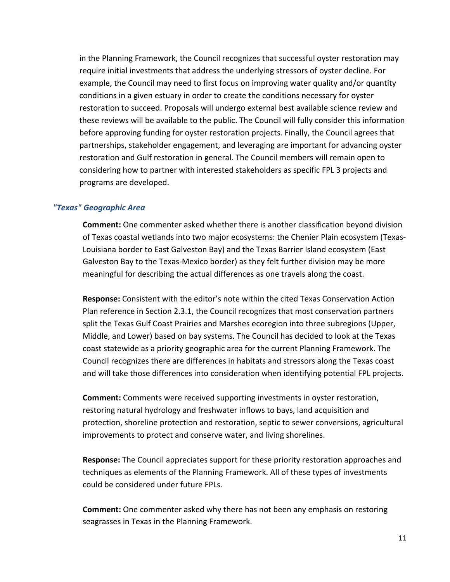in the Planning Framework, the Council recognizes that successful oyster restoration may require initial investments that address the underlying stressors of oyster decline. For example, the Council may need to first focus on improving water quality and/or quantity conditions in a given estuary in order to create the conditions necessary for oyster restoration to succeed. Proposals will undergo external best available science review and these reviews will be available to the public. The Council will fully consider this information before approving funding for oyster restoration projects. Finally, the Council agrees that partnerships, stakeholder engagement, and leveraging are important for advancing oyster restoration and Gulf restoration in general. The Council members will remain open to considering how to partner with interested stakeholders as specific FPL 3 projects and programs are developed.

#### <span id="page-11-0"></span>*"Texas" Geographic Area*

**Comment:** One commenter asked whether there is another classification beyond division of Texas coastal wetlands into two major ecosystems: the Chenier Plain ecosystem (Texas-Louisiana border to East Galveston Bay) and the Texas Barrier Island ecosystem (East Galveston Bay to the Texas-Mexico border) as they felt further division may be more meaningful for describing the actual differences as one travels along the coast.

**Response:** Consistent with the editor's note within the cited Texas Conservation Action Plan reference in Section 2.3.1, the Council recognizes that most conservation partners split the Texas Gulf Coast Prairies and Marshes ecoregion into three subregions (Upper, Middle, and Lower) based on bay systems. The Council has decided to look at the Texas coast statewide as a priority geographic area for the current Planning Framework. The Council recognizes there are differences in habitats and stressors along the Texas coast and will take those differences into consideration when identifying potential FPL projects.

**Comment:** Comments were received supporting investments in oyster restoration, restoring natural hydrology and freshwater inflows to bays, land acquisition and protection, shoreline protection and restoration, septic to sewer conversions, agricultural improvements to protect and conserve water, and living shorelines.

**Response:** The Council appreciates support for these priority restoration approaches and techniques as elements of the Planning Framework. All of these types of investments could be considered under future FPLs.

**Comment:** One commenter asked why there has not been any emphasis on restoring seagrasses in Texas in the Planning Framework.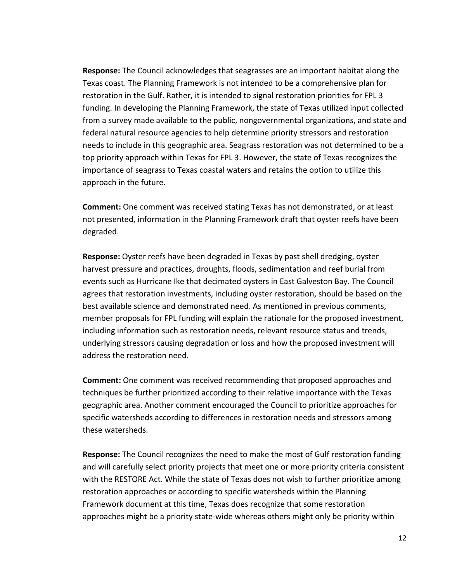**Response:** The Council acknowledges that seagrasses are an important habitat along the Texas coast. The Planning Framework is not intended to be a comprehensive plan for restoration in the Gulf. Rather, it is intended to signal restoration priorities for FPL 3 funding. In developing the Planning Framework, the state of Texas utilized input collected from a survey made available to the public, nongovernmental organizations, and state and federal natural resource agencies to help determine priority stressors and restoration needs to include in this geographic area. Seagrass restoration was not determined to be a top priority approach within Texas for FPL 3. However, the state of Texas recognizes the importance of seagrass to Texas coastal waters and retains the option to utilize this approach in the future.

**Comment:** One comment was received stating Texas has not demonstrated, or at least not presented, information in the Planning Framework draft that oyster reefs have been degraded.

**Response:** Oyster reefs have been degraded in Texas by past shell dredging, oyster harvest pressure and practices, droughts, floods, sedimentation and reef burial from events such as Hurricane Ike that decimated oysters in East Galveston Bay. The Council agrees that restoration investments, including oyster restoration, should be based on the best available science and demonstrated need. As mentioned in previous comments, member proposals for FPL funding will explain the rationale for the proposed investment, including information such as restoration needs, relevant resource status and trends, underlying stressors causing degradation or loss and how the proposed investment will address the restoration need.

**Comment:** One comment was received recommending that proposed approaches and techniques be further prioritized according to their relative importance with the Texas geographic area. Another comment encouraged the Council to prioritize approaches for specific watersheds according to differences in restoration needs and stressors among these watersheds.

**Response:** The Council recognizes the need to make the most of Gulf restoration funding and will carefully select priority projects that meet one or more priority criteria consistent with the RESTORE Act. While the state of Texas does not wish to further prioritize among restoration approaches or according to specific watersheds within the Planning Framework document at this time, Texas does recognize that some restoration approaches might be a priority state-wide whereas others might only be priority within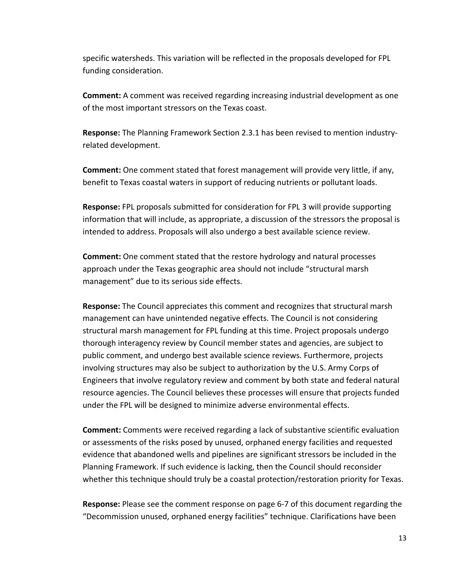specific watersheds. This variation will be reflected in the proposals developed for FPL funding consideration.

**Comment:** A comment was received regarding increasing industrial development as one of the most important stressors on the Texas coast.

**Response:** The Planning Framework Section 2.3.1 has been revised to mention industryrelated development.

**Comment:** One comment stated that forest management will provide very little, if any, benefit to Texas coastal waters in support of reducing nutrients or pollutant loads.

**Response:** FPL proposals submitted for consideration for FPL 3 will provide supporting information that will include, as appropriate, a discussion of the stressors the proposal is intended to address. Proposals will also undergo a best available science review.

**Comment:** One comment stated that the restore hydrology and natural processes approach under the Texas geographic area should not include "structural marsh management" due to its serious side effects.

**Response:** The Council appreciates this comment and recognizes that structural marsh management can have unintended negative effects. The Council is not considering structural marsh management for FPL funding at this time. Project proposals undergo thorough interagency review by Council member states and agencies, are subject to public comment, and undergo best available science reviews. Furthermore, projects involving structures may also be subject to authorization by the U.S. Army Corps of Engineers that involve regulatory review and comment by both state and federal natural resource agencies. The Council believes these processes will ensure that projects funded under the FPL will be designed to minimize adverse environmental effects.

**Comment:** Comments were received regarding a lack of substantive scientific evaluation or assessments of the risks posed by unused, orphaned energy facilities and requested evidence that abandoned wells and pipelines are significant stressors be included in the Planning Framework. If such evidence is lacking, then the Council should reconsider whether this technique should truly be a coastal protection/restoration priority for Texas.

**Response:** Please see the comment response on page 6-7 of this document regarding the "Decommission unused, orphaned energy facilities" technique. Clarifications have been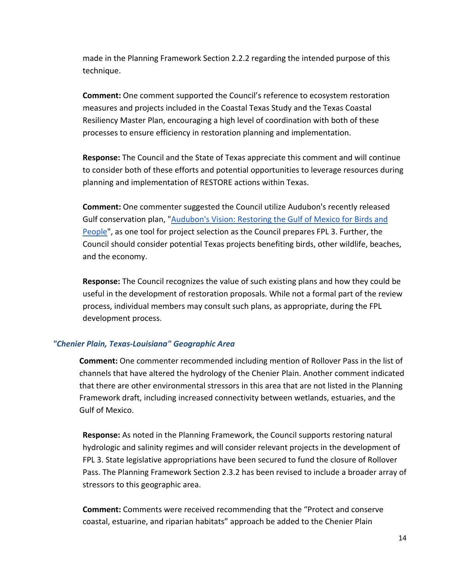made in the Planning Framework Section 2.2.2 regarding the intended purpose of this technique.

**Comment:** One comment supported the Council's reference to ecosystem restoration measures and projects included in the Coastal Texas Study and the Texas Coastal Resiliency Master Plan, encouraging a high level of coordination with both of these processes to ensure efficiency in restoration planning and implementation.

**Response:** The Council and the State of Texas appreciate this comment and will continue to consider both of these efforts and potential opportunities to leverage resources during planning and implementation of RESTORE actions within Texas.

**Comment:** One commenter suggested the Council utilize Audubon's recently released Gulf conservation plan, ["Audubon's Vision: Restoring the Gulf of Mexico for Birds and](https://issuu.com/audubon8/docs/audubons_vision_-_restoring_the_gul?e=35018399/67743872)  [People"](https://issuu.com/audubon8/docs/audubons_vision_-_restoring_the_gul?e=35018399/67743872), as one tool for project selection as the Council prepares FPL 3. Further, the Council should consider potential Texas projects benefiting birds, other wildlife, beaches, and the economy.

**Response:** The Council recognizes the value of such existing plans and how they could be useful in the development of restoration proposals. While not a formal part of the review process, individual members may consult such plans, as appropriate, during the FPL development process.

# <span id="page-14-0"></span>*"Chenier Plain, Texas-Louisiana" Geographic Area*

**Comment:** One commenter recommended including mention of Rollover Pass in the list of channels that have altered the hydrology of the Chenier Plain. Another comment indicated that there are other environmental stressors in this area that are not listed in the Planning Framework draft, including increased connectivity between wetlands, estuaries, and the Gulf of Mexico.

**Response:** As noted in the Planning Framework, the Council supports restoring natural hydrologic and salinity regimes and will consider relevant projects in the development of FPL 3. State legislative appropriations have been secured to fund the closure of Rollover Pass. The Planning Framework Section 2.3.2 has been revised to include a broader array of stressors to this geographic area.

**Comment:** Comments were received recommending that the "Protect and conserve coastal, estuarine, and riparian habitats" approach be added to the Chenier Plain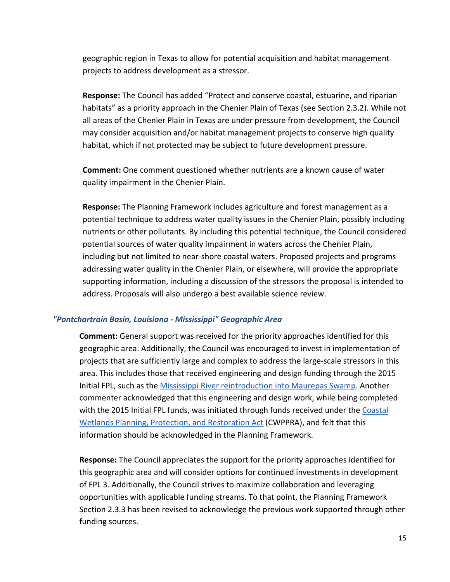geographic region in Texas to allow for potential acquisition and habitat management projects to address development as a stressor.

**Response:** The Council has added "Protect and conserve coastal, estuarine, and riparian habitats" as a priority approach in the Chenier Plain of Texas (see Section 2.3.2). While not all areas of the Chenier Plain in Texas are under pressure from development, the Council may consider acquisition and/or habitat management projects to conserve high quality habitat, which if not protected may be subject to future development pressure.

**Comment:** One comment questioned whether nutrients are a known cause of water quality impairment in the Chenier Plain.

**Response:** The Planning Framework includes agriculture and forest management as a potential technique to address water quality issues in the Chenier Plain, possibly including nutrients or other pollutants. By including this potential technique, the Council considered potential sources of water quality impairment in waters across the Chenier Plain, including but not limited to near-shore coastal waters. Proposed projects and programs addressing water quality in the Chenier Plain, or elsewhere, will provide the appropriate supporting information, including a discussion of the stressors the proposal is intended to address. Proposals will also undergo a best available science review.

#### <span id="page-15-0"></span>*"Pontchartrain Basin, Louisiana - Mississippi" Geographic Area*

**Comment:** General support was received for the priority approaches identified for this geographic area. Additionally, the Council was encouraged to invest in implementation of projects that are sufficiently large and complex to address the large-scale stressors in this area. This includes those that received engineering and design funding through the 2015 Initial FPL, such as the [Mississippi River reintroduction into Maurepas Swamp.](https://s3.amazonaws.com/gcerc.documents/fpl.factsheets.final/FPL_FS_D4_LA+Maurepas+Swamp+v11.15.15.pdf) Another commenter acknowledged that this engineering and design work, while being completed with the 2015 Initial FPL funds, was initiated through funds received under the Coastal [Wetlands Planning, Protection, and Restoration Act](https://www.lacoast.gov/new/Default.aspx) (CWPPRA), and felt that this information should be acknowledged in the Planning Framework.

**Response:** The Council appreciates the support for the priority approaches identified for this geographic area and will consider options for continued investments in development of FPL 3. Additionally, the Council strives to maximize collaboration and leveraging opportunities with applicable funding streams. To that point, the Planning Framework Section 2.3.3 has been revised to acknowledge the previous work supported through other funding sources.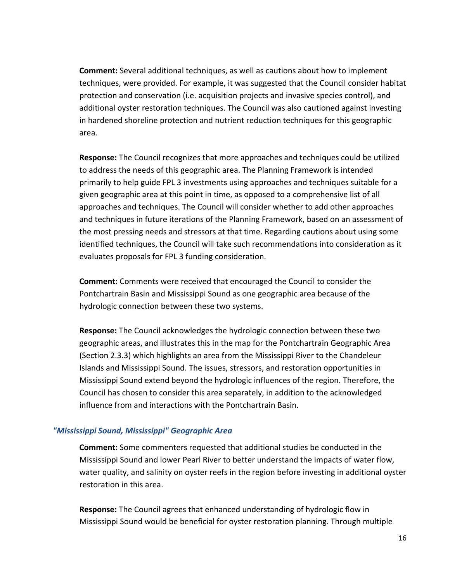**Comment:** Several additional techniques, as well as cautions about how to implement techniques, were provided. For example, it was suggested that the Council consider habitat protection and conservation (i.e. acquisition projects and invasive species control), and additional oyster restoration techniques. The Council was also cautioned against investing in hardened shoreline protection and nutrient reduction techniques for this geographic area.

**Response:** The Council recognizes that more approaches and techniques could be utilized to address the needs of this geographic area. The Planning Framework is intended primarily to help guide FPL 3 investments using approaches and techniques suitable for a given geographic area at this point in time, as opposed to a comprehensive list of all approaches and techniques. The Council will consider whether to add other approaches and techniques in future iterations of the Planning Framework, based on an assessment of the most pressing needs and stressors at that time. Regarding cautions about using some identified techniques, the Council will take such recommendations into consideration as it evaluates proposals for FPL 3 funding consideration.

**Comment:** Comments were received that encouraged the Council to consider the Pontchartrain Basin and Mississippi Sound as one geographic area because of the hydrologic connection between these two systems.

**Response:** The Council acknowledges the hydrologic connection between these two geographic areas, and illustrates this in the map for the Pontchartrain Geographic Area (Section 2.3.3) which highlights an area from the Mississippi River to the Chandeleur Islands and Mississippi Sound. The issues, stressors, and restoration opportunities in Mississippi Sound extend beyond the hydrologic influences of the region. Therefore, the Council has chosen to consider this area separately, in addition to the acknowledged influence from and interactions with the Pontchartrain Basin.

# <span id="page-16-0"></span>*"Mississippi Sound, Mississippi" Geographic Area*

**Comment:** Some commenters requested that additional studies be conducted in the Mississippi Sound and lower Pearl River to better understand the impacts of water flow, water quality, and salinity on oyster reefs in the region before investing in additional oyster restoration in this area.

**Response:** The Council agrees that enhanced understanding of hydrologic flow in Mississippi Sound would be beneficial for oyster restoration planning. Through multiple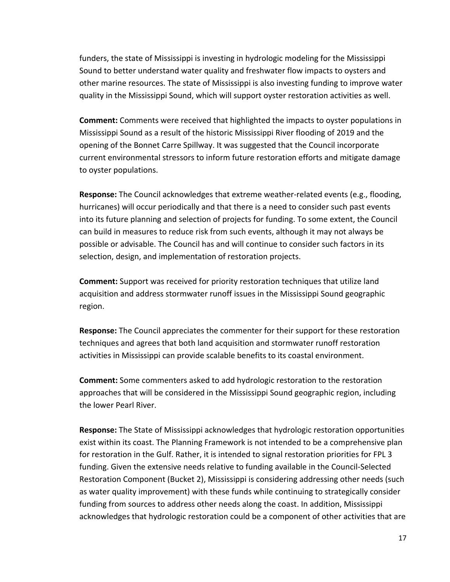funders, the state of Mississippi is investing in hydrologic modeling for the Mississippi Sound to better understand water quality and freshwater flow impacts to oysters and other marine resources. The state of Mississippi is also investing funding to improve water quality in the Mississippi Sound, which will support oyster restoration activities as well.

**Comment:** Comments were received that highlighted the impacts to oyster populations in Mississippi Sound as a result of the historic Mississippi River flooding of 2019 and the opening of the Bonnet Carre Spillway. It was suggested that the Council incorporate current environmental stressors to inform future restoration efforts and mitigate damage to oyster populations.

**Response:** The Council acknowledges that extreme weather-related events (e.g., flooding, hurricanes) will occur periodically and that there is a need to consider such past events into its future planning and selection of projects for funding. To some extent, the Council can build in measures to reduce risk from such events, although it may not always be possible or advisable. The Council has and will continue to consider such factors in its selection, design, and implementation of restoration projects.

**Comment:** Support was received for priority restoration techniques that utilize land acquisition and address stormwater runoff issues in the Mississippi Sound geographic region.

**Response:** The Council appreciates the commenter for their support for these restoration techniques and agrees that both land acquisition and stormwater runoff restoration activities in Mississippi can provide scalable benefits to its coastal environment.

**Comment:** Some commenters asked to add hydrologic restoration to the restoration approaches that will be considered in the Mississippi Sound geographic region, including the lower Pearl River.

**Response:** The State of Mississippi acknowledges that hydrologic restoration opportunities exist within its coast. The Planning Framework is not intended to be a comprehensive plan for restoration in the Gulf. Rather, it is intended to signal restoration priorities for FPL 3 funding. Given the extensive needs relative to funding available in the Council-Selected Restoration Component (Bucket 2), Mississippi is considering addressing other needs (such as water quality improvement) with these funds while continuing to strategically consider funding from sources to address other needs along the coast. In addition, Mississippi acknowledges that hydrologic restoration could be a component of other activities that are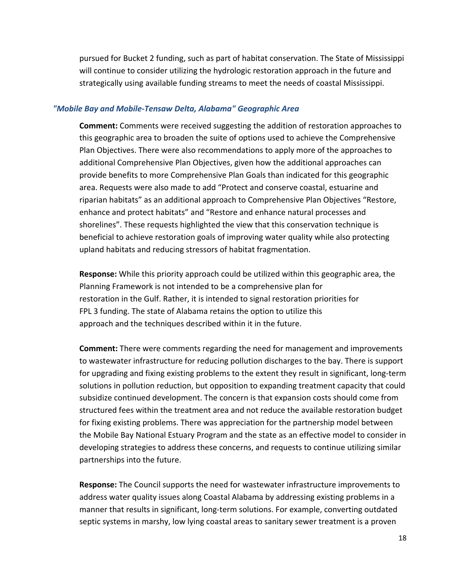pursued for Bucket 2 funding, such as part of habitat conservation. The State of Mississippi will continue to consider utilizing the hydrologic restoration approach in the future and strategically using available funding streams to meet the needs of coastal Mississippi.

#### <span id="page-18-0"></span>*"Mobile Bay and Mobile-Tensaw Delta, Alabama" Geographic Area*

**Comment:** Comments were received suggesting the addition of restoration approaches to this geographic area to broaden the suite of options used to achieve the Comprehensive Plan Objectives. There were also recommendations to apply more of the approaches to additional Comprehensive Plan Objectives, given how the additional approaches can provide benefits to more Comprehensive Plan Goals than indicated for this geographic area. Requests were also made to add "Protect and conserve coastal, estuarine and riparian habitats" as an additional approach to Comprehensive Plan Objectives "Restore, enhance and protect habitats" and "Restore and enhance natural processes and shorelines". These requests highlighted the view that this conservation technique is beneficial to achieve restoration goals of improving water quality while also protecting upland habitats and reducing stressors of habitat fragmentation.

**Response:** While this priority approach could be utilized within this geographic area, the Planning Framework is not intended to be a comprehensive plan for restoration in the Gulf. Rather, it is intended to signal restoration priorities for FPL 3 funding. The state of Alabama retains the option to utilize this approach and the techniques described within it in the future.

**Comment:** There were comments regarding the need for management and improvements to wastewater infrastructure for reducing pollution discharges to the bay. There is support for upgrading and fixing existing problems to the extent they result in significant, long-term solutions in pollution reduction, but opposition to expanding treatment capacity that could subsidize continued development. The concern is that expansion costs should come from structured fees within the treatment area and not reduce the available restoration budget for fixing existing problems. There was appreciation for the partnership model between the Mobile Bay National Estuary Program and the state as an effective model to consider in developing strategies to address these concerns, and requests to continue utilizing similar partnerships into the future.

**Response:** The Council supports the need for wastewater infrastructure improvements to address water quality issues along Coastal Alabama by addressing existing problems in a manner that results in significant, long-term solutions. For example, converting outdated septic systems in marshy, low lying coastal areas to sanitary sewer treatment is a proven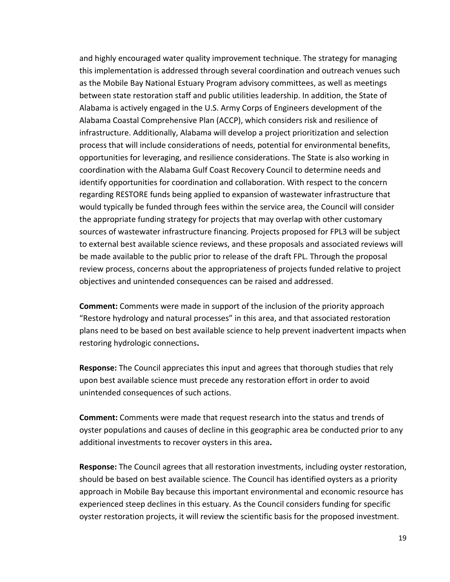and highly encouraged water quality improvement technique. The strategy for managing this implementation is addressed through several coordination and outreach venues such as the Mobile Bay National Estuary Program advisory committees, as well as meetings between state restoration staff and public utilities leadership. In addition, the State of Alabama is actively engaged in the U.S. Army Corps of Engineers development of the Alabama Coastal Comprehensive Plan (ACCP), which considers risk and resilience of infrastructure. Additionally, Alabama will develop a project prioritization and selection process that will include considerations of needs, potential for environmental benefits, opportunities for leveraging, and resilience considerations. The State is also working in coordination with the Alabama Gulf Coast Recovery Council to determine needs and identify opportunities for coordination and collaboration. With respect to the concern regarding RESTORE funds being applied to expansion of wastewater infrastructure that would typically be funded through fees within the service area, the Council will consider the appropriate funding strategy for projects that may overlap with other customary sources of wastewater infrastructure financing. Projects proposed for FPL3 will be subject to external best available science reviews, and these proposals and associated reviews will be made available to the public prior to release of the draft FPL. Through the proposal review process, concerns about the appropriateness of projects funded relative to project objectives and unintended consequences can be raised and addressed.

**Comment:** Comments were made in support of the inclusion of the priority approach "Restore hydrology and natural processes" in this area, and that associated restoration plans need to be based on best available science to help prevent inadvertent impacts when restoring hydrologic connections**.**

**Response:** The Council appreciates this input and agrees that thorough studies that rely upon best available science must precede any restoration effort in order to avoid unintended consequences of such actions.

**Comment:** Comments were made that request research into the status and trends of oyster populations and causes of decline in this geographic area be conducted prior to any additional investments to recover oysters in this area**.**

**Response:** The Council agrees that all restoration investments, including oyster restoration, should be based on best available science. The Council has identified oysters as a priority approach in Mobile Bay because this important environmental and economic resource has experienced steep declines in this estuary. As the Council considers funding for specific oyster restoration projects, it will review the scientific basis for the proposed investment.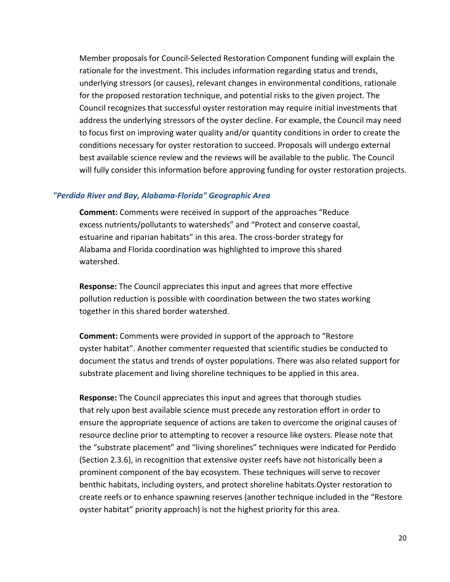Member proposals for Council-Selected Restoration Component funding will explain the rationale for the investment. This includes information regarding status and trends, underlying stressors (or causes), relevant changes in environmental conditions, rationale for the proposed restoration technique, and potential risks to the given project. The Council recognizes that successful oyster restoration may require initial investments that address the underlying stressors of the oyster decline. For example, the Council may need to focus first on improving water quality and/or quantity conditions in order to create the conditions necessary for oyster restoration to succeed. Proposals will undergo external best available science review and the reviews will be available to the public. The Council will fully consider this information before approving funding for oyster restoration projects.

#### <span id="page-20-0"></span>*"Perdido River and Bay, Alabama-Florida" Geographic Area*

**Comment:** Comments were received in support of the approaches "Reduce excess nutrients/pollutants to watersheds" and "Protect and conserve coastal, estuarine and riparian habitats" in this area. The cross-border strategy for Alabama and Florida coordination was highlighted to improve this shared watershed.

**Response:** The Council appreciates this input and agrees that more effective pollution reduction is possible with coordination between the two states working together in this shared border watershed.

**Comment:** Comments were provided in support of the approach to "Restore oyster habitat". Another commenter requested that scientific studies be conducted to document the status and trends of oyster populations. There was also related support for substrate placement and living shoreline techniques to be applied in this area.

**Response:** The Council appreciates this input and agrees that thorough studies that rely upon best available science must precede any restoration effort in order to ensure the appropriate sequence of actions are taken to overcome the original causes of resource decline prior to attempting to recover a resource like oysters. Please note that the "substrate placement" and "living shorelines" techniques were indicated for Perdido (Section 2.3.6), in recognition that extensive oyster reefs have not historically been a prominent component of the bay ecosystem. These techniques will serve to recover benthic habitats, including oysters, and protect shoreline habitats.Oyster restoration to create reefs or to enhance spawning reserves (another technique included in the "Restore oyster habitat" priority approach) is not the highest priority for this area.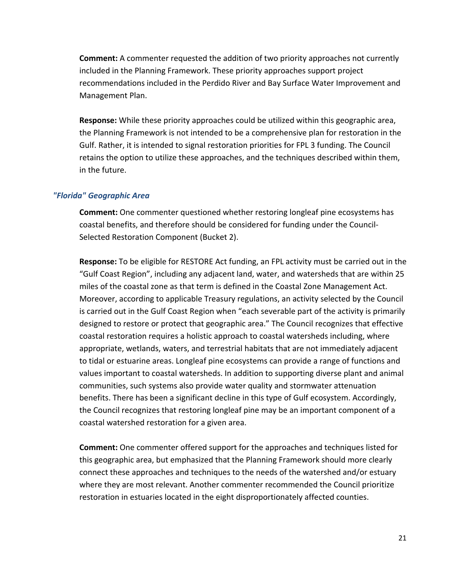**Comment:** A commenter requested the addition of two priority approaches not currently included in the Planning Framework. These priority approaches support project recommendations included in the Perdido River and Bay Surface Water Improvement and Management Plan.

**Response:** While these priority approaches could be utilized within this geographic area, the Planning Framework is not intended to be a comprehensive plan for restoration in the Gulf. Rather, it is intended to signal restoration priorities for FPL 3 funding. The Council retains the option to utilize these approaches, and the techniques described within them, in the future.

#### <span id="page-21-0"></span>*"Florida" Geographic Area*

**Comment:** One commenter questioned whether restoring longleaf pine ecosystems has coastal benefits, and therefore should be considered for funding under the Council-Selected Restoration Component (Bucket 2).

**Response:** To be eligible for RESTORE Act funding, an FPL activity must be carried out in the "Gulf Coast Region", including any adjacent land, water, and watersheds that are within 25 miles of the coastal zone as that term is defined in the Coastal Zone Management Act. Moreover, according to applicable Treasury regulations, an activity selected by the Council is carried out in the Gulf Coast Region when "each severable part of the activity is primarily designed to restore or protect that geographic area." The Council recognizes that effective coastal restoration requires a holistic approach to coastal watersheds including, where appropriate, wetlands, waters, and terrestrial habitats that are not immediately adjacent to tidal or estuarine areas. Longleaf pine ecosystems can provide a range of functions and values important to coastal watersheds. In addition to supporting diverse plant and animal communities, such systems also provide water quality and stormwater attenuation benefits. There has been a significant decline in this type of Gulf ecosystem. Accordingly, the Council recognizes that restoring longleaf pine may be an important component of a coastal watershed restoration for a given area.

**Comment:** One commenter offered support for the approaches and techniques listed for this geographic area, but emphasized that the Planning Framework should more clearly connect these approaches and techniques to the needs of the watershed and/or estuary where they are most relevant. Another commenter recommended the Council prioritize restoration in estuaries located in the eight disproportionately affected counties.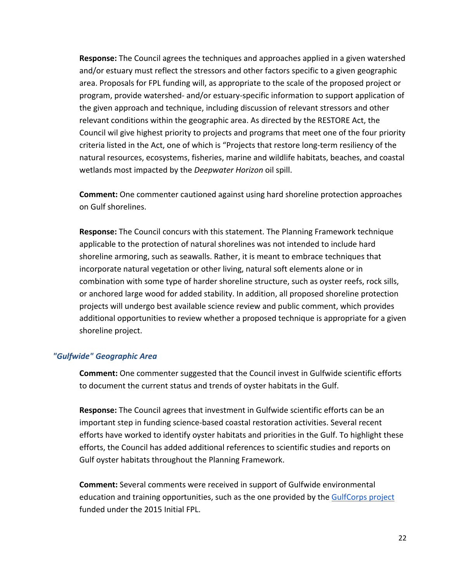**Response:** The Council agrees the techniques and approaches applied in a given watershed and/or estuary must reflect the stressors and other factors specific to a given geographic area. Proposals for FPL funding will, as appropriate to the scale of the proposed project or program, provide watershed- and/or estuary-specific information to support application of the given approach and technique, including discussion of relevant stressors and other relevant conditions within the geographic area. As directed by the RESTORE Act, the Council wil give highest priority to projects and programs that meet one of the four priority criteria listed in the Act, one of which is "Projects that restore long-term resiliency of the natural resources, ecosystems, fisheries, marine and wildlife habitats, beaches, and coastal wetlands most impacted by the *Deepwater Horizon* oil spill.

**Comment:** One commenter cautioned against using hard shoreline protection approaches on Gulf shorelines.

**Response:** The Council concurs with this statement. The Planning Framework technique applicable to the protection of natural shorelines was not intended to include hard shoreline armoring, such as seawalls. Rather, it is meant to embrace techniques that incorporate natural vegetation or other living, natural soft elements alone or in combination with some type of harder shoreline structure, such as oyster reefs, rock sills, or anchored large wood for added stability. In addition, all proposed shoreline protection projects will undergo best available science review and public comment, which provides additional opportunities to review whether a proposed technique is appropriate for a given shoreline project.

#### <span id="page-22-0"></span>*"Gulfwide" Geographic Area*

**Comment:** One commenter suggested that the Council invest in Gulfwide scientific efforts to document the current status and trends of oyster habitats in the Gulf.

**Response:** The Council agrees that investment in Gulfwide scientific efforts can be an important step in funding science-based coastal restoration activities. Several recent efforts have worked to identify oyster habitats and priorities in the Gulf. To highlight these efforts, the Council has added additional references to scientific studies and reports on Gulf oyster habitats throughout the Planning Framework.

**Comment:** Several comments were received in support of Gulfwide environmental education and training opportunities, such as the one provided by the GulfCorps project funded under the 2015 Initial FPL.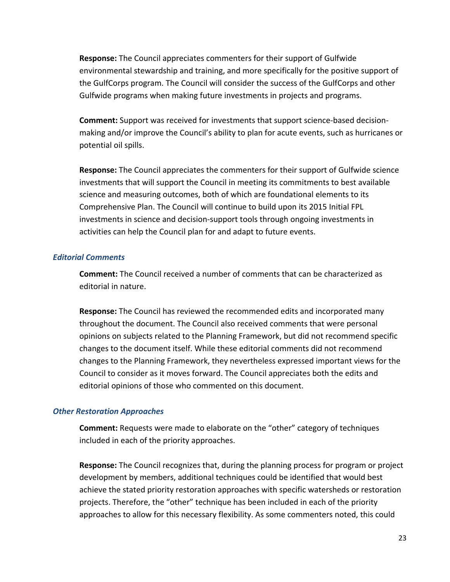**Response:** The Council appreciates commenters for their support of Gulfwide environmental stewardship and training, and more specifically for the positive support of the GulfCorps program. The Council will consider the success of the GulfCorps and other Gulfwide programs when making future investments in projects and programs.

**Comment:** Support was received for investments that support science-based decisionmaking and/or improve the Council's ability to plan for acute events, such as hurricanes or potential oil spills.

**Response:** The Council appreciates the commenters for their support of Gulfwide science investments that will support the Council in meeting its commitments to best available science and measuring outcomes, both of which are foundational elements to its Comprehensive Plan. The Council will continue to build upon its 2015 Initial FPL investments in science and decision-support tools through ongoing investments in activities can help the Council plan for and adapt to future events.

#### <span id="page-23-0"></span>*Editorial Comments*

**Comment:** The Council received a number of comments that can be characterized as editorial in nature.

**Response:** The Council has reviewed the recommended edits and incorporated many throughout the document. The Council also received comments that were personal opinions on subjects related to the Planning Framework, but did not recommend specific changes to the document itself. While these editorial comments did not recommend changes to the Planning Framework, they nevertheless expressed important views for the Council to consider as it moves forward. The Council appreciates both the edits and editorial opinions of those who commented on this document.

# <span id="page-23-1"></span>*Other Restoration Approaches*

**Comment:** Requests were made to elaborate on the "other" category of techniques included in each of the priority approaches.

**Response:** The Council recognizes that, during the planning process for program or project development by members, additional techniques could be identified that would best achieve the stated priority restoration approaches with specific watersheds or restoration projects. Therefore, the "other" technique has been included in each of the priority approaches to allow for this necessary flexibility. As some commenters noted, this could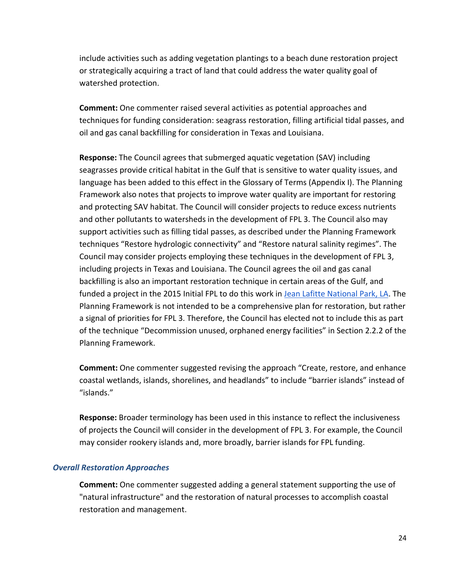include activities such as adding vegetation plantings to a beach dune restoration project or strategically acquiring a tract of land that could address the water quality goal of watershed protection.

**Comment:** One commenter raised several activities as potential approaches and techniques for funding consideration: seagrass restoration, filling artificial tidal passes, and oil and gas canal backfilling for consideration in Texas and Louisiana.

**Response:** The Council agrees that submerged aquatic vegetation (SAV) including seagrasses provide critical habitat in the Gulf that is sensitive to water quality issues, and language has been added to this effect in the Glossary of Terms (Appendix I). The Planning Framework also notes that projects to improve water quality are important for restoring and protecting SAV habitat. The Council will consider projects to reduce excess nutrients and other pollutants to watersheds in the development of FPL 3. The Council also may support activities such as filling tidal passes, as described under the Planning Framework techniques "Restore hydrologic connectivity" and "Restore natural salinity regimes". The Council may consider projects employing these techniques in the development of FPL 3, including projects in Texas and Louisiana. The Council agrees the oil and gas canal backfilling is also an important restoration technique in certain areas of the Gulf, and funded a project in the 2015 Initial FPL to do this work in [Jean Lafitte National Park, LA.](https://s3.amazonaws.com/gcerc.documents/fpl.factsheets.final/FPL_FS_D_LA+Jean+Lafitte+v11.15.15.pdf) The Planning Framework is not intended to be a comprehensive plan for restoration, but rather a signal of priorities for FPL 3. Therefore, the Council has elected not to include this as part of the technique "Decommission unused, orphaned energy facilities" in Section 2.2.2 of the Planning Framework.

**Comment:** One commenter suggested revising the approach "Create, restore, and enhance coastal wetlands, islands, shorelines, and headlands" to include "barrier islands" instead of "islands."

**Response:** Broader terminology has been used in this instance to reflect the inclusiveness of projects the Council will consider in the development of FPL 3. For example, the Council may consider rookery islands and, more broadly, barrier islands for FPL funding.

# <span id="page-24-0"></span>*Overall Restoration Approaches*

**Comment:** One commenter suggested adding a general statement supporting the use of "natural infrastructure" and the restoration of natural processes to accomplish coastal restoration and management.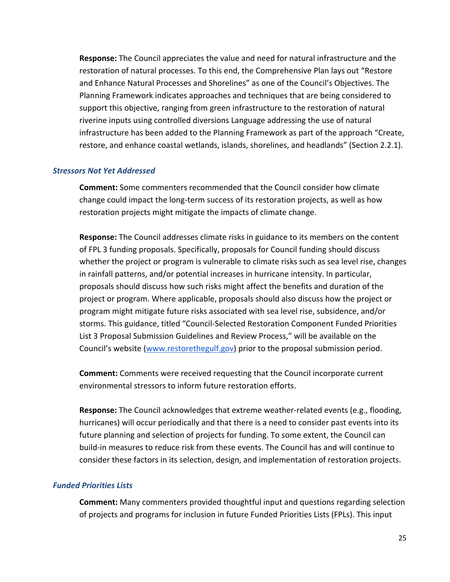**Response:** The Council appreciates the value and need for natural infrastructure and the restoration of natural processes. To this end, the Comprehensive Plan lays out "Restore and Enhance Natural Processes and Shorelines" as one of the Council's Objectives. The Planning Framework indicates approaches and techniques that are being considered to support this objective, ranging from green infrastructure to the restoration of natural riverine inputs using controlled diversions Language addressing the use of natural infrastructure has been added to the Planning Framework as part of the approach "Create, restore, and enhance coastal wetlands, islands, shorelines, and headlands" (Section 2.2.1).

#### <span id="page-25-0"></span>*Stressors Not Yet Addressed*

**Comment:** Some commenters recommended that the Council consider how climate change could impact the long-term success of its restoration projects, as well as how restoration projects might mitigate the impacts of climate change.

**Response:** The Council addresses climate risks in guidance to its members on the content of FPL 3 funding proposals. Specifically, proposals for Council funding should discuss whether the project or program is vulnerable to climate risks such as sea level rise, changes in rainfall patterns, and/or potential increases in hurricane intensity. In particular, proposals should discuss how such risks might affect the benefits and duration of the project or program. Where applicable, proposals should also discuss how the project or program might mitigate future risks associated with sea level rise, subsidence, and/or storms. This guidance, titled "Council-Selected Restoration Component Funded Priorities List 3 Proposal Submission Guidelines and Review Process," will be available on the Council's website [\(www.restorethegulf.gov\)](http://www.restorethegulf.gov/) prior to the proposal submission period.

**Comment:** Comments were received requesting that the Council incorporate current environmental stressors to inform future restoration efforts.

**Response:** The Council acknowledges that extreme weather-related events (e.g., flooding, hurricanes) will occur periodically and that there is a need to consider past events into its future planning and selection of projects for funding. To some extent, the Council can build-in measures to reduce risk from these events. The Council has and will continue to consider these factors in its selection, design, and implementation of restoration projects.

#### <span id="page-25-1"></span>*Funded Priorities Lists*

**Comment:** Many commenters provided thoughtful input and questions regarding selection of projects and programs for inclusion in future Funded Priorities Lists (FPLs). This input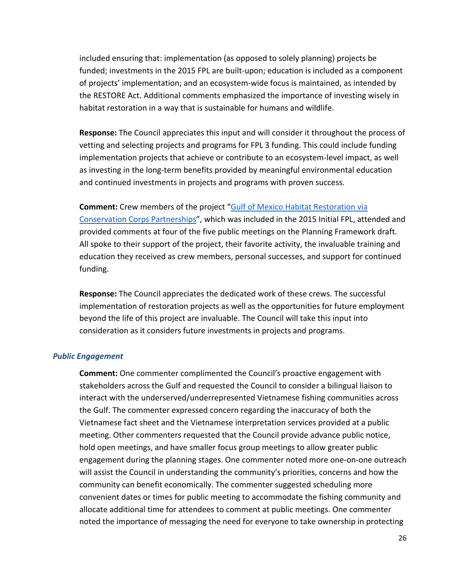included ensuring that: implementation (as opposed to solely planning) projects be funded; investments in the 2015 FPL are built-upon; education is included as a component of projects' implementation; and an ecosystem-wide focus is maintained, as intended by the RESTORE Act. Additional comments emphasized the importance of investing wisely in habitat restoration in a way that is sustainable for humans and wildlife.

**Response:** The Council appreciates this input and will consider it throughout the process of vetting and selecting projects and programs for FPL 3 funding. This could include funding implementation projects that achieve or contribute to an ecosystem-level impact, as well as investing in the long-term benefits provided by meaningful environmental education and continued investments in projects and programs with proven success.

**Comment:** Crew members of the project ["Gulf of Mexico Habitat Restoration via](https://restorethegulf.gov/sites/default/files/FPL_FS_K6_GW%20Conservation%20Corps%20v11.17.15.pdf)  [Conservation Corps Partnerships"](https://restorethegulf.gov/sites/default/files/FPL_FS_K6_GW%20Conservation%20Corps%20v11.17.15.pdf), which was included in the 2015 Initial FPL, attended and provided comments at four of the five public meetings on the Planning Framework draft. All spoke to their support of the project, their favorite activity, the invaluable training and education they received as crew members, personal successes, and support for continued funding.

**Response:** The Council appreciates the dedicated work of these crews. The successful implementation of restoration projects as well as the opportunities for future employment beyond the life of this project are invaluable. The Council will take this input into consideration as it considers future investments in projects and programs.

#### <span id="page-26-0"></span>*Public Engagement*

**Comment:** One commenter complimented the Council's proactive engagement with stakeholders across the Gulf and requested the Council to consider a bilingual liaison to interact with the underserved/underrepresented Vietnamese fishing communities across the Gulf. The commenter expressed concern regarding the inaccuracy of both the Vietnamese fact sheet and the Vietnamese interpretation services provided at a public meeting. Other commenters requested that the Council provide advance public notice, hold open meetings, and have smaller focus group meetings to allow greater public engagement during the planning stages. One commenter noted more one-on-one outreach will assist the Council in understanding the community's priorities, concerns and how the community can benefit economically. The commenter suggested scheduling more convenient dates or times for public meeting to accommodate the fishing community and allocate additional time for attendees to comment at public meetings. One commenter noted the importance of messaging the need for everyone to take ownership in protecting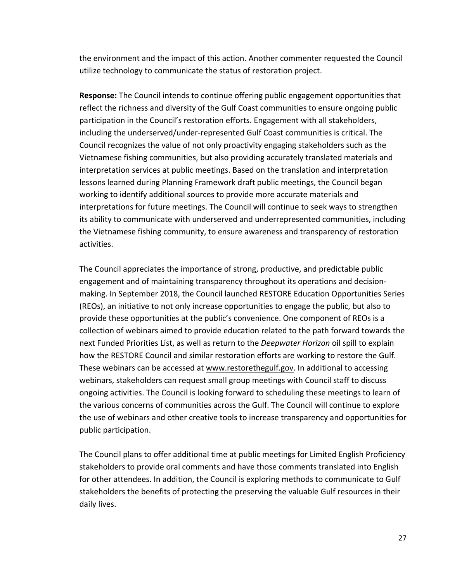the environment and the impact of this action. Another commenter requested the Council utilize technology to communicate the status of restoration project.

**Response:** The Council intends to continue offering public engagement opportunities that reflect the richness and diversity of the Gulf Coast communities to ensure ongoing public participation in the Council's restoration efforts. Engagement with all stakeholders, including the underserved/under-represented Gulf Coast communities is critical. The Council recognizes the value of not only proactivity engaging stakeholders such as the Vietnamese fishing communities, but also providing accurately translated materials and interpretation services at public meetings. Based on the translation and interpretation lessons learned during Planning Framework draft public meetings, the Council began working to identify additional sources to provide more accurate materials and interpretations for future meetings. The Council will continue to seek ways to strengthen its ability to communicate with underserved and underrepresented communities, including the Vietnamese fishing community, to ensure awareness and transparency of restoration activities.

The Council appreciates the importance of strong, productive, and predictable public engagement and of maintaining transparency throughout its operations and decisionmaking. In September 2018, the Council launched RESTORE Education Opportunities Series (REOs), an initiative to not only increase opportunities to engage the public, but also to provide these opportunities at the public's convenience. One component of REOs is a collection of webinars aimed to provide education related to the path forward towards the next Funded Priorities List, as well as return to the *Deepwater Horizon* oil spill to explain how the RESTORE Council and similar restoration efforts are working to restore the Gulf. These webinars can be accessed at [www.restorethegulf.gov.](http://www.restorethegulf.gov/) In additional to accessing webinars, stakeholders can request small group meetings with Council staff to discuss ongoing activities. The Council is looking forward to scheduling these meetings to learn of the various concerns of communities across the Gulf. The Council will continue to explore the use of webinars and other creative tools to increase transparency and opportunities for public participation.

The Council plans to offer additional time at public meetings for Limited English Proficiency stakeholders to provide oral comments and have those comments translated into English for other attendees. In addition, the Council is exploring methods to communicate to Gulf stakeholders the benefits of protecting the preserving the valuable Gulf resources in their daily lives.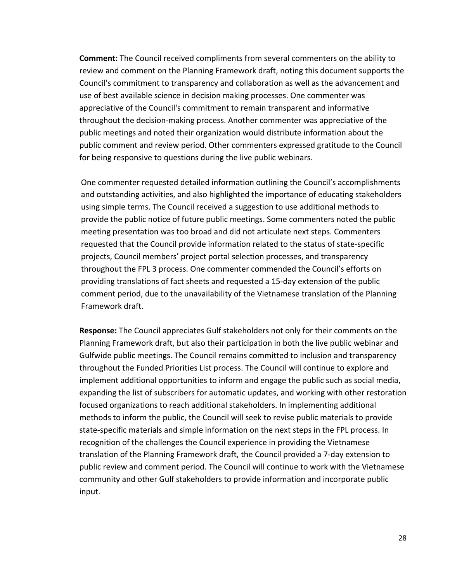**Comment:** The Council received compliments from several commenters on the ability to review and comment on the Planning Framework draft, noting this document supports the Council's commitment to transparency and collaboration as well as the advancement and use of best available science in decision making processes. One commenter was appreciative of the Council's commitment to remain transparent and informative throughout the decision-making process. Another commenter was appreciative of the public meetings and noted their organization would distribute information about the public comment and review period. Other commenters expressed gratitude to the Council for being responsive to questions during the live public webinars.

One commenter requested detailed information outlining the Council's accomplishments and outstanding activities, and also highlighted the importance of educating stakeholders using simple terms. The Council received a suggestion to use additional methods to provide the public notice of future public meetings. Some commenters noted the public meeting presentation was too broad and did not articulate next steps. Commenters requested that the Council provide information related to the status of state-specific projects, Council members' project portal selection processes, and transparency throughout the FPL 3 process. One commenter commended the Council's efforts on providing translations of fact sheets and requested a 15-day extension of the public comment period, due to the unavailability of the Vietnamese translation of the Planning Framework draft.

**Response:** The Council appreciates Gulf stakeholders not only for their comments on the Planning Framework draft, but also their participation in both the live public webinar and Gulfwide public meetings. The Council remains committed to inclusion and transparency throughout the Funded Priorities List process. The Council will continue to explore and implement additional opportunities to inform and engage the public such as social media, expanding the list of subscribers for automatic updates, and working with other restoration focused organizations to reach additional stakeholders. In implementing additional methods to inform the public, the Council will seek to revise public materials to provide state-specific materials and simple information on the next steps in the FPL process. In recognition of the challenges the Council experience in providing the Vietnamese translation of the Planning Framework draft, the Council provided a 7-day extension to public review and comment period. The Council will continue to work with the Vietnamese community and other Gulf stakeholders to provide information and incorporate public input.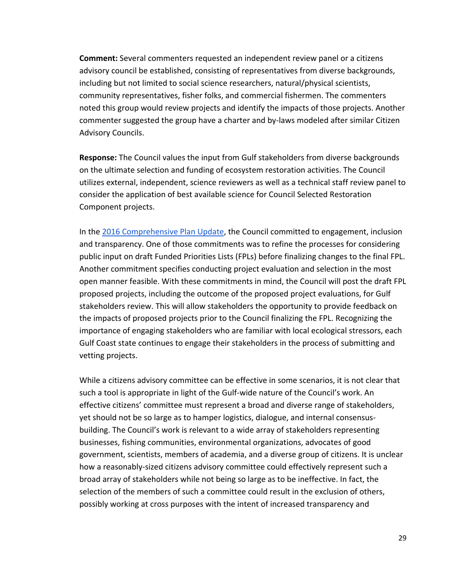**Comment:** Several commenters requested an independent review panel or a citizens advisory council be established, consisting of representatives from diverse backgrounds, including but not limited to social science researchers, natural/physical scientists, community representatives, fisher folks, and commercial fishermen. The commenters noted this group would review projects and identify the impacts of those projects. Another commenter suggested the group have a charter and by-laws modeled after similar Citizen Advisory Councils.

**Response:** The Council values the input from Gulf stakeholders from diverse backgrounds on the ultimate selection and funding of ecosystem restoration activities. The Council utilizes external, independent, science reviewers as well as a technical staff review panel to consider the application of best available science for Council Selected Restoration Component projects.

In the [2016 Comprehensive Plan Update,](https://www.restorethegulf.gov/sites/default/files/CO-PL_20161208_CompPlanUpdate_English.pdf.) the Council committed to engagement, inclusion and transparency. One of those commitments was to refine the processes for considering public input on draft Funded Priorities Lists (FPLs) before finalizing changes to the final FPL. Another commitment specifies conducting project evaluation and selection in the most open manner feasible. With these commitments in mind, the Council will post the draft FPL proposed projects, including the outcome of the proposed project evaluations, for Gulf stakeholders review. This will allow stakeholders the opportunity to provide feedback on the impacts of proposed projects prior to the Council finalizing the FPL. Recognizing the importance of engaging stakeholders who are familiar with local ecological stressors, each Gulf Coast state continues to engage their stakeholders in the process of submitting and vetting projects.

While a citizens advisory committee can be effective in some scenarios, it is not clear that such a tool is appropriate in light of the Gulf-wide nature of the Council's work. An effective citizens' committee must represent a broad and diverse range of stakeholders, yet should not be so large as to hamper logistics, dialogue, and internal consensusbuilding. The Council's work is relevant to a wide array of stakeholders representing businesses, fishing communities, environmental organizations, advocates of good government, scientists, members of academia, and a diverse group of citizens. It is unclear how a reasonably-sized citizens advisory committee could effectively represent such a broad array of stakeholders while not being so large as to be ineffective. In fact, the selection of the members of such a committee could result in the exclusion of others, possibly working at cross purposes with the intent of increased transparency and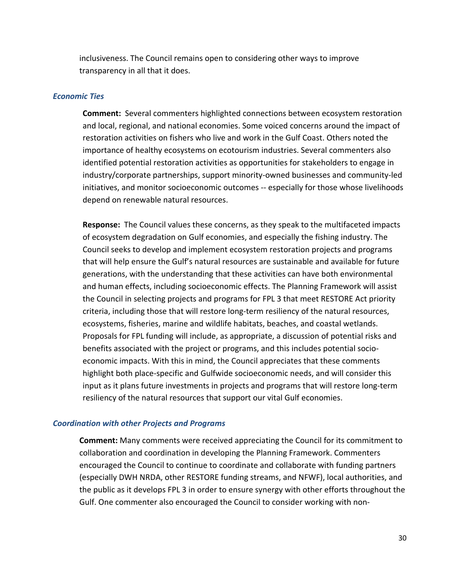inclusiveness. The Council remains open to considering other ways to improve transparency in all that it does.

#### <span id="page-30-0"></span>*Economic Ties*

**Comment:** Several commenters highlighted connections between ecosystem restoration and local, regional, and national economies. Some voiced concerns around the impact of restoration activities on fishers who live and work in the Gulf Coast. Others noted the importance of healthy ecosystems on ecotourism industries. Several commenters also identified potential restoration activities as opportunities for stakeholders to engage in industry/corporate partnerships, support minority-owned businesses and community-led initiatives, and monitor socioeconomic outcomes -- especially for those whose livelihoods depend on renewable natural resources.

**Response:** The Council values these concerns, as they speak to the multifaceted impacts of ecosystem degradation on Gulf economies, and especially the fishing industry. The Council seeks to develop and implement ecosystem restoration projects and programs that will help ensure the Gulf's natural resources are sustainable and available for future generations, with the understanding that these activities can have both environmental and human effects, including socioeconomic effects. The Planning Framework will assist the Council in selecting projects and programs for FPL 3 that meet RESTORE Act priority criteria, including those that will restore long-term resiliency of the natural resources, ecosystems, fisheries, marine and wildlife habitats, beaches, and coastal wetlands. Proposals for FPL funding will include, as appropriate, a discussion of potential risks and benefits associated with the project or programs, and this includes potential socioeconomic impacts. With this in mind, the Council appreciates that these comments highlight both place-specific and Gulfwide socioeconomic needs, and will consider this input as it plans future investments in projects and programs that will restore long-term resiliency of the natural resources that support our vital Gulf economies.

# <span id="page-30-1"></span>*Coordination with other Projects and Programs*

**Comment:** Many comments were received appreciating the Council for its commitment to collaboration and coordination in developing the Planning Framework. Commenters encouraged the Council to continue to coordinate and collaborate with funding partners (especially DWH NRDA, other RESTORE funding streams, and NFWF), local authorities, and the public as it develops FPL 3 in order to ensure synergy with other efforts throughout the Gulf. One commenter also encouraged the Council to consider working with non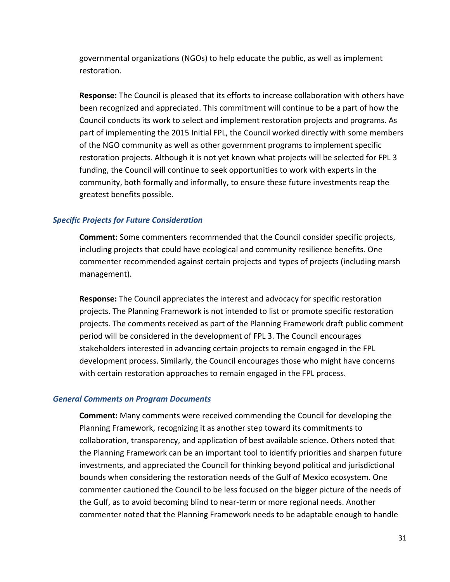governmental organizations (NGOs) to help educate the public, as well as implement restoration.

**Response:** The Council is pleased that its efforts to increase collaboration with others have been recognized and appreciated. This commitment will continue to be a part of how the Council conducts its work to select and implement restoration projects and programs. As part of implementing the 2015 Initial FPL, the Council worked directly with some members of the NGO community as well as other government programs to implement specific restoration projects. Although it is not yet known what projects will be selected for FPL 3 funding, the Council will continue to seek opportunities to work with experts in the community, both formally and informally, to ensure these future investments reap the greatest benefits possible.

# <span id="page-31-0"></span>*Specific Projects for Future Consideration*

**Comment:** Some commenters recommended that the Council consider specific projects, including projects that could have ecological and community resilience benefits. One commenter recommended against certain projects and types of projects (including marsh management).

**Response:** The Council appreciates the interest and advocacy for specific restoration projects. The Planning Framework is not intended to list or promote specific restoration projects. The comments received as part of the Planning Framework draft public comment period will be considered in the development of FPL 3. The Council encourages stakeholders interested in advancing certain projects to remain engaged in the FPL development process. Similarly, the Council encourages those who might have concerns with certain restoration approaches to remain engaged in the FPL process.

# <span id="page-31-1"></span>*General Comments on Program Documents*

**Comment:** Many comments were received commending the Council for developing the Planning Framework, recognizing it as another step toward its commitments to collaboration, transparency, and application of best available science. Others noted that the Planning Framework can be an important tool to identify priorities and sharpen future investments, and appreciated the Council for thinking beyond political and jurisdictional bounds when considering the restoration needs of the Gulf of Mexico ecosystem. One commenter cautioned the Council to be less focused on the bigger picture of the needs of the Gulf, as to avoid becoming blind to near-term or more regional needs. Another commenter noted that the Planning Framework needs to be adaptable enough to handle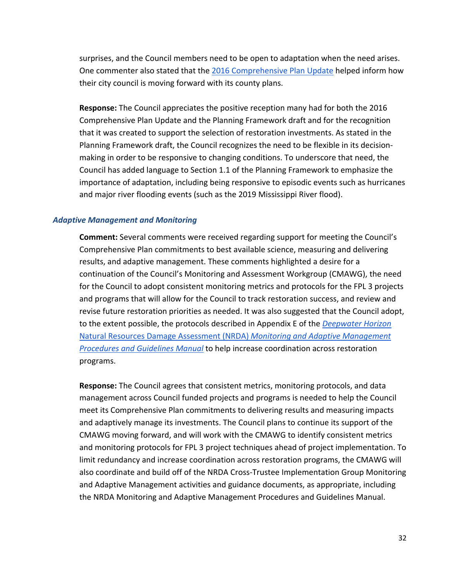surprises, and the Council members need to be open to adaptation when the need arises. One commenter also stated that the [2016 Comprehensive Plan Update](https://www.restorethegulf.gov/sites/default/files/CO-PL_20161208_CompPlanUpdate_English.pdf.) helped inform how their city council is moving forward with its county plans.

**Response:** The Council appreciates the positive reception many had for both the 2016 Comprehensive Plan Update and the Planning Framework draft and for the recognition that it was created to support the selection of restoration investments. As stated in the Planning Framework draft, the Council recognizes the need to be flexible in its decisionmaking in order to be responsive to changing conditions. To underscore that need, the Council has added language to Section 1.1 of the Planning Framework to emphasize the importance of adaptation, including being responsive to episodic events such as hurricanes and major river flooding events (such as the 2019 Mississippi River flood).

#### <span id="page-32-0"></span>*Adaptive Management and Monitoring*

**Comment:** Several comments were received regarding support for meeting the Council's Comprehensive Plan commitments to best available science, measuring and delivering results, and adaptive management. These comments highlighted a desire for a continuation of the Council's Monitoring and Assessment Workgroup (CMAWG), the need for the Council to adopt consistent monitoring metrics and protocols for the FPL 3 projects and programs that will allow for the Council to track restoration success, and review and revise future restoration priorities as needed. It was also suggested that the Council adopt, to the extent possible, the protocols described in Appendix E of the *[Deepwater Horizon](https://www.gulfspillrestoration.noaa.gov/sites/default/files/2018_01_TC_MAM_Procedures_Guidelines_Manual_12-2017_508_c.pdf)* [Natural Resources Damage Assessment \(NRDA\)](https://www.gulfspillrestoration.noaa.gov/sites/default/files/2018_01_TC_MAM_Procedures_Guidelines_Manual_12-2017_508_c.pdf) *[Monitoring and Adaptive Management](https://www.gulfspillrestoration.noaa.gov/sites/default/files/2018_01_TC_MAM_Procedures_Guidelines_Manual_12-2017_508_c.pdf)  [Procedures and Guidelines Manual](https://www.gulfspillrestoration.noaa.gov/sites/default/files/2018_01_TC_MAM_Procedures_Guidelines_Manual_12-2017_508_c.pdf)* to help increase coordination across restoration programs.

**Response:** The Council agrees that consistent metrics, monitoring protocols, and data management across Council funded projects and programs is needed to help the Council meet its Comprehensive Plan commitments to delivering results and measuring impacts and adaptively manage its investments. The Council plans to continue its support of the CMAWG moving forward, and will work with the CMAWG to identify consistent metrics and monitoring protocols for FPL 3 project techniques ahead of project implementation. To limit redundancy and increase coordination across restoration programs, the CMAWG will also coordinate and build off of the NRDA Cross-Trustee Implementation Group Monitoring and Adaptive Management activities and guidance documents, as appropriate, including the NRDA Monitoring and Adaptive Management Procedures and Guidelines Manual.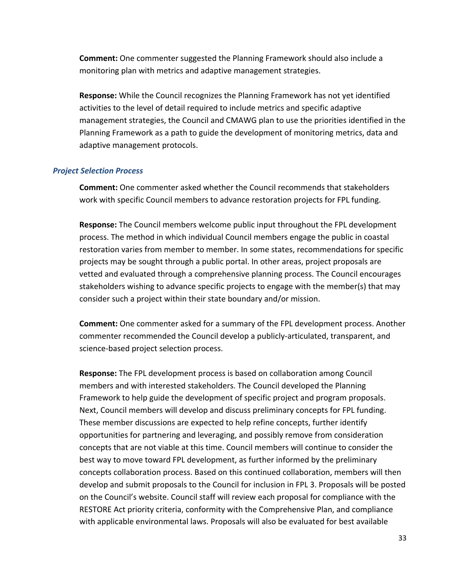**Comment:** One commenter suggested the Planning Framework should also include a monitoring plan with metrics and adaptive management strategies.

**Response:** While the Council recognizes the Planning Framework has not yet identified activities to the level of detail required to include metrics and specific adaptive management strategies, the Council and CMAWG plan to use the priorities identified in the Planning Framework as a path to guide the development of monitoring metrics, data and adaptive management protocols.

#### <span id="page-33-0"></span>*Project Selection Process*

**Comment:** One commenter asked whether the Council recommends that stakeholders work with specific Council members to advance restoration projects for FPL funding.

**Response:** The Council members welcome public input throughout the FPL development process. The method in which individual Council members engage the public in coastal restoration varies from member to member. In some states, recommendations for specific projects may be sought through a public portal. In other areas, project proposals are vetted and evaluated through a comprehensive planning process. The Council encourages stakeholders wishing to advance specific projects to engage with the member(s) that may consider such a project within their state boundary and/or mission.

**Comment:** One commenter asked for a summary of the FPL development process. Another commenter recommended the Council develop a publicly-articulated, transparent, and science-based project selection process.

**Response:** The FPL development process is based on collaboration among Council members and with interested stakeholders. The Council developed the Planning Framework to help guide the development of specific project and program proposals. Next, Council members will develop and discuss preliminary concepts for FPL funding. These member discussions are expected to help refine concepts, further identify opportunities for partnering and leveraging, and possibly remove from consideration concepts that are not viable at this time. Council members will continue to consider the best way to move toward FPL development, as further informed by the preliminary concepts collaboration process. Based on this continued collaboration, members will then develop and submit proposals to the Council for inclusion in FPL 3. Proposals will be posted on the Council's website. Council staff will review each proposal for compliance with the RESTORE Act priority criteria, conformity with the Comprehensive Plan, and compliance with applicable environmental laws. Proposals will also be evaluated for best available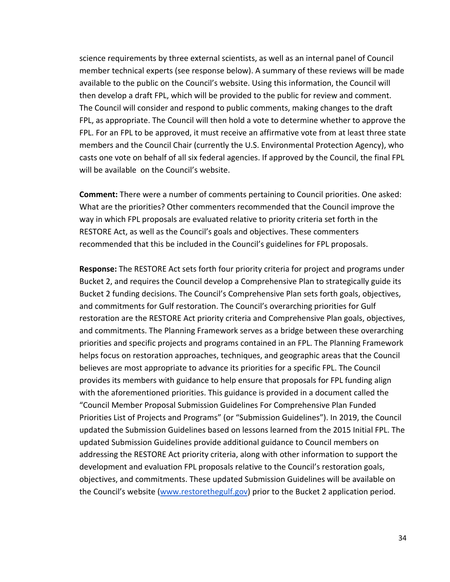science requirements by three external scientists, as well as an internal panel of Council member technical experts (see response below). A summary of these reviews will be made available to the public on the Council's website. Using this information, the Council will then develop a draft FPL, which will be provided to the public for review and comment. The Council will consider and respond to public comments, making changes to the draft FPL, as appropriate. The Council will then hold a vote to determine whether to approve the FPL. For an FPL to be approved, it must receive an affirmative vote from at least three state members and the Council Chair (currently the U.S. Environmental Protection Agency), who casts one vote on behalf of all six federal agencies. If approved by the Council, the final FPL will be available on the Council's website.

**Comment:** There were a number of comments pertaining to Council priorities. One asked: What are the priorities? Other commenters recommended that the Council improve the way in which FPL proposals are evaluated relative to priority criteria set forth in the RESTORE Act, as well as the Council's goals and objectives. These commenters recommended that this be included in the Council's guidelines for FPL proposals.

**Response:** The RESTORE Act sets forth four priority criteria for project and programs under Bucket 2, and requires the Council develop a Comprehensive Plan to strategically guide its Bucket 2 funding decisions. The Council's Comprehensive Plan sets forth goals, objectives, and commitments for Gulf restoration. The Council's overarching priorities for Gulf restoration are the RESTORE Act priority criteria and Comprehensive Plan goals, objectives, and commitments. The Planning Framework serves as a bridge between these overarching priorities and specific projects and programs contained in an FPL. The Planning Framework helps focus on restoration approaches, techniques, and geographic areas that the Council believes are most appropriate to advance its priorities for a specific FPL. The Council provides its members with guidance to help ensure that proposals for FPL funding align with the aforementioned priorities. This guidance is provided in a document called the "Council Member Proposal Submission Guidelines For Comprehensive Plan Funded Priorities List of Projects and Programs" (or "Submission Guidelines"). In 2019, the Council updated the Submission Guidelines based on lessons learned from the 2015 Initial FPL. The updated Submission Guidelines provide additional guidance to Council members on addressing the RESTORE Act priority criteria, along with other information to support the development and evaluation FPL proposals relative to the Council's restoration goals, objectives, and commitments. These updated Submission Guidelines will be available on the Council's website [\(www.restorethegulf.gov\)](http://www.restorethegulf.gov/) prior to the Bucket 2 application period.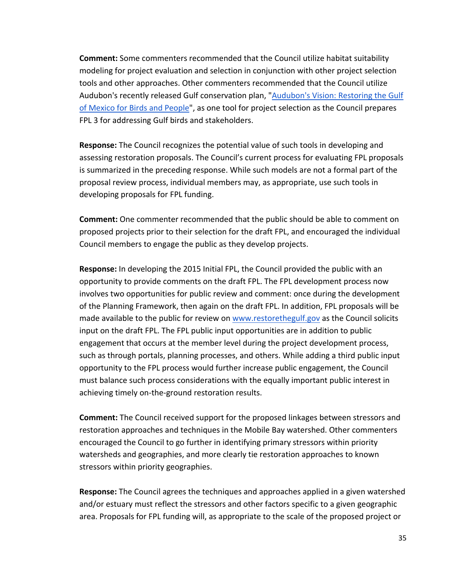**Comment:** Some commenters recommended that the Council utilize habitat suitability modeling for project evaluation and selection in conjunction with other project selection tools and other approaches. Other commenters recommended that the Council utilize Audubon's recently released Gulf conservation plan, "Audubon's Vision: Restoring the Gulf [of Mexico for Birds and People"](https://issuu.com/audubon8/docs/audubons_vision_-_restoring_the_gul?e=35018399/67743872), as one tool for project selection as the Council prepares FPL 3 for addressing Gulf birds and stakeholders.

**Response:** The Council recognizes the potential value of such tools in developing and assessing restoration proposals. The Council's current process for evaluating FPL proposals is summarized in the preceding response. While such models are not a formal part of the proposal review process, individual members may, as appropriate, use such tools in developing proposals for FPL funding.

**Comment:** One commenter recommended that the public should be able to comment on proposed projects prior to their selection for the draft FPL, and encouraged the individual Council members to engage the public as they develop projects.

**Response:** In developing the 2015 Initial FPL, the Council provided the public with an opportunity to provide comments on the draft FPL. The FPL development process now involves two opportunities for public review and comment: once during the development of the Planning Framework, then again on the draft FPL. In addition, FPL proposals will be made available to the public for review on [www.restorethegulf.gov](http://www.restorethegulf.gov/) as the Council solicits input on the draft FPL. The FPL public input opportunities are in addition to public engagement that occurs at the member level during the project development process, such as through portals, planning processes, and others. While adding a third public input opportunity to the FPL process would further increase public engagement, the Council must balance such process considerations with the equally important public interest in achieving timely on-the-ground restoration results.

**Comment:** The Council received support for the proposed linkages between stressors and restoration approaches and techniques in the Mobile Bay watershed. Other commenters encouraged the Council to go further in identifying primary stressors within priority watersheds and geographies, and more clearly tie restoration approaches to known stressors within priority geographies.

**Response:** The Council agrees the techniques and approaches applied in a given watershed and/or estuary must reflect the stressors and other factors specific to a given geographic area. Proposals for FPL funding will, as appropriate to the scale of the proposed project or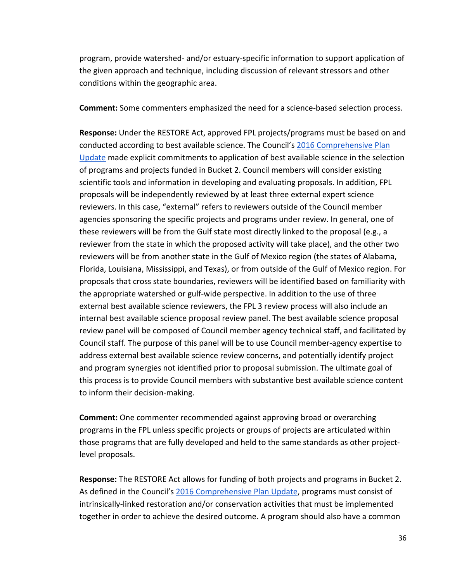program, provide watershed- and/or estuary-specific information to support application of the given approach and technique, including discussion of relevant stressors and other conditions within the geographic area.

**Comment:** Some commenters emphasized the need for a science-based selection process.

**Response:** Under the RESTORE Act, approved FPL projects/programs must be based on and conducted according to best available science. The Council's [2016 Comprehensive](https://www.restorethegulf.gov/sites/default/files/CO-PL_20161208_CompPlanUpdate_English.pdf.) [Plan](https://www.restorethegulf.gov/sites/default/files/CO-PL_20161208_CompPlanUpdate_English.pdf.)  [Update](https://www.restorethegulf.gov/sites/default/files/CO-PL_20161208_CompPlanUpdate_English.pdf.) made explicit commitments to application of best available science in the selection of programs and projects funded in Bucket 2. Council members will consider existing scientific tools and information in developing and evaluating proposals. In addition, FPL proposals will be independently reviewed by at least three external expert science reviewers. In this case, "external" refers to reviewers outside of the Council member agencies sponsoring the specific projects and programs under review. In general, one of these reviewers will be from the Gulf state most directly linked to the proposal (e.g., a reviewer from the state in which the proposed activity will take place), and the other two reviewers will be from another state in the Gulf of Mexico region (the states of Alabama, Florida, Louisiana, Mississippi, and Texas), or from outside of the Gulf of Mexico region. For proposals that cross state boundaries, reviewers will be identified based on familiarity with the appropriate watershed or gulf-wide perspective. In addition to the use of three external best available science reviewers, the FPL 3 review process will also include an internal best available science proposal review panel. The best available science proposal review panel will be composed of Council member agency technical staff, and facilitated by Council staff. The purpose of this panel will be to use Council member-agency expertise to address external best available science review concerns, and potentially identify project and program synergies not identified prior to proposal submission. The ultimate goal of this process is to provide Council members with substantive best available science content to inform their decision-making.

**Comment:** One commenter recommended against approving broad or overarching programs in the FPL unless specific projects or groups of projects are articulated within those programs that are fully developed and held to the same standards as other projectlevel proposals.

**Response:** The RESTORE Act allows for funding of both projects and programs in Bucket 2. As defined in the Council's [2016 Comprehensive Plan Update,](https://www.restorethegulf.gov/sites/default/files/CO-PL_20161208_CompPlanUpdate_English.pdf.) programs must consist of intrinsically-linked restoration and/or conservation activities that must be implemented together in order to achieve the desired outcome. A program should also have a common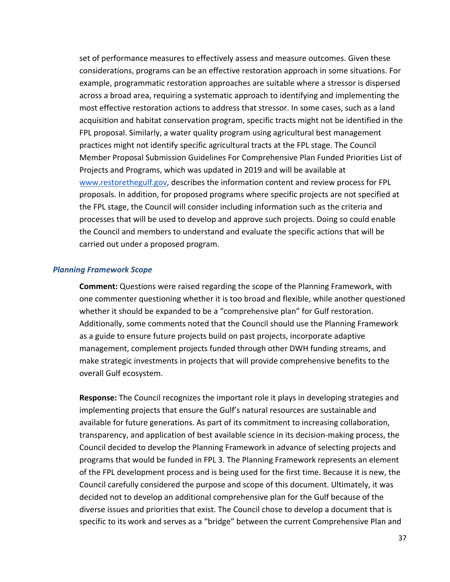set of performance measures to effectively assess and measure outcomes. Given these considerations, programs can be an effective restoration approach in some situations. For example, programmatic restoration approaches are suitable where a stressor is dispersed across a broad area, requiring a systematic approach to identifying and implementing the most effective restoration actions to address that stressor. In some cases, such as a land acquisition and habitat conservation program, specific tracts might not be identified in the FPL proposal. Similarly, a water quality program using agricultural best management practices might not identify specific agricultural tracts at the FPL stage. The Council Member Proposal Submission Guidelines For Comprehensive Plan Funded Priorities List of Projects and Programs, which was updated in 2019 and will be available at [www.restorethegulf.gov,](http://www.restorethegulf.gov/) describes the information content and review process for FPL proposals. In addition, for proposed programs where specific projects are not specified at the FPL stage, the Council will consider including information such as the criteria and processes that will be used to develop and approve such projects. Doing so could enable the Council and members to understand and evaluate the specific actions that will be carried out under a proposed program.

#### <span id="page-37-0"></span>*Planning Framework Scope*

**Comment:** Questions were raised regarding the scope of the Planning Framework, with one commenter questioning whether it is too broad and flexible, while another questioned whether it should be expanded to be a "comprehensive plan" for Gulf restoration. Additionally, some comments noted that the Council should use the Planning Framework as a guide to ensure future projects build on past projects, incorporate adaptive management, complement projects funded through other DWH funding streams, and make strategic investments in projects that will provide comprehensive benefits to the overall Gulf ecosystem.

**Response:** The Council recognizes the important role it plays in developing strategies and implementing projects that ensure the Gulf's natural resources are sustainable and available for future generations. As part of its commitment to increasing collaboration, transparency, and application of best available science in its decision-making process, the Council decided to develop the Planning Framework in advance of selecting projects and programs that would be funded in FPL 3. The Planning Framework represents an element of the FPL development process and is being used for the first time. Because it is new, the Council carefully considered the purpose and scope of this document. Ultimately, it was decided not to develop an additional comprehensive plan for the Gulf because of the diverse issues and priorities that exist. The Council chose to develop a document that is specific to its work and serves as a "bridge" between the current Comprehensive Plan and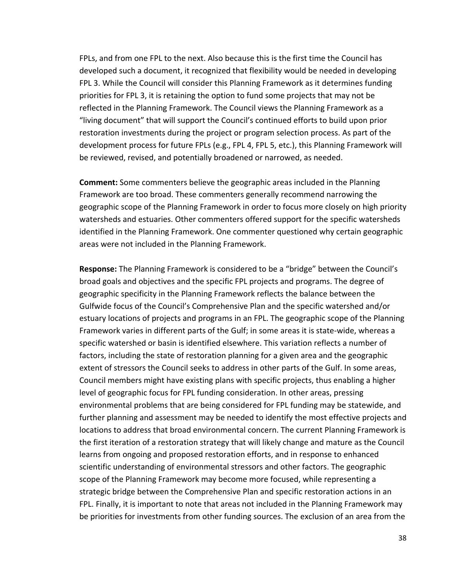FPLs, and from one FPL to the next. Also because this is the first time the Council has developed such a document, it recognized that flexibility would be needed in developing FPL 3. While the Council will consider this Planning Framework as it determines funding priorities for FPL 3, it is retaining the option to fund some projects that may not be reflected in the Planning Framework. The Council views the Planning Framework as a "living document" that will support the Council's continued efforts to build upon prior restoration investments during the project or program selection process. As part of the development process for future FPLs (e.g., FPL 4, FPL 5, etc.), this Planning Framework will be reviewed, revised, and potentially broadened or narrowed, as needed.

**Comment:** Some commenters believe the geographic areas included in the Planning Framework are too broad. These commenters generally recommend narrowing the geographic scope of the Planning Framework in order to focus more closely on high priority watersheds and estuaries. Other commenters offered support for the specific watersheds identified in the Planning Framework. One commenter questioned why certain geographic areas were not included in the Planning Framework.

**Response:** The Planning Framework is considered to be a "bridge" between the Council's broad goals and objectives and the specific FPL projects and programs. The degree of geographic specificity in the Planning Framework reflects the balance between the Gulfwide focus of the Council's Comprehensive Plan and the specific watershed and/or estuary locations of projects and programs in an FPL. The geographic scope of the Planning Framework varies in different parts of the Gulf; in some areas it is state-wide, whereas a specific watershed or basin is identified elsewhere. This variation reflects a number of factors, including the state of restoration planning for a given area and the geographic extent of stressors the Council seeks to address in other parts of the Gulf. In some areas, Council members might have existing plans with specific projects, thus enabling a higher level of geographic focus for FPL funding consideration. In other areas, pressing environmental problems that are being considered for FPL funding may be statewide, and further planning and assessment may be needed to identify the most effective projects and locations to address that broad environmental concern. The current Planning Framework is the first iteration of a restoration strategy that will likely change and mature as the Council learns from ongoing and proposed restoration efforts, and in response to enhanced scientific understanding of environmental stressors and other factors. The geographic scope of the Planning Framework may become more focused, while representing a strategic bridge between the Comprehensive Plan and specific restoration actions in an FPL. Finally, it is important to note that areas not included in the Planning Framework may be priorities for investments from other funding sources. The exclusion of an area from the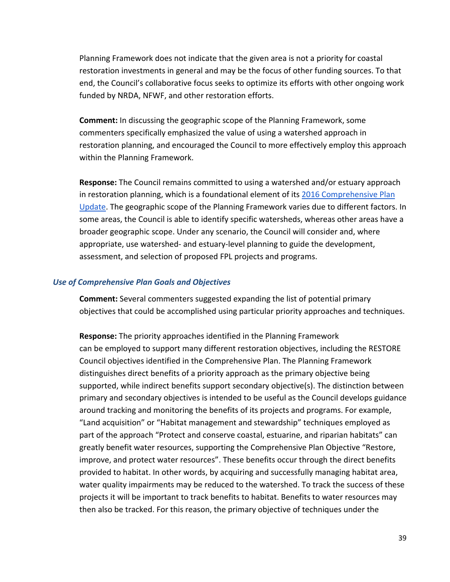Planning Framework does not indicate that the given area is not a priority for coastal restoration investments in general and may be the focus of other funding sources. To that end, the Council's collaborative focus seeks to optimize its efforts with other ongoing work funded by NRDA, NFWF, and other restoration efforts.

**Comment:** In discussing the geographic scope of the Planning Framework, some commenters specifically emphasized the value of using a watershed approach in restoration planning, and encouraged the Council to more effectively employ this approach within the Planning Framework.

**Response:** The Council remains committed to using a watershed and/or estuary approach in restoration planning, which is a foundational element of its [2016 Comprehensive Plan](https://www.restorethegulf.gov/sites/default/files/CO-PL_20161208_CompPlanUpdate_English.pdf.)  [Update.](https://www.restorethegulf.gov/sites/default/files/CO-PL_20161208_CompPlanUpdate_English.pdf.) The geographic scope of the Planning Framework varies due to different factors. In some areas, the Council is able to identify specific watersheds, whereas other areas have a broader geographic scope. Under any scenario, the Council will consider and, where appropriate, use watershed- and estuary-level planning to guide the development, assessment, and selection of proposed FPL projects and programs.

#### <span id="page-39-0"></span>*Use of Comprehensive Plan Goals and Objectives*

**Comment:** Several commenters suggested expanding the list of potential primary objectives that could be accomplished using particular priority approaches and techniques.

**Response:** The priority approaches identified in the Planning Framework can be employed to support many different restoration objectives, including the RESTORE Council objectives identified in the Comprehensive Plan. The Planning Framework distinguishes direct benefits of a priority approach as the primary objective being supported, while indirect benefits support secondary objective(s). The distinction between primary and secondary objectives is intended to be useful as the Council develops guidance around tracking and monitoring the benefits of its projects and programs. For example, "Land acquisition" or "Habitat management and stewardship" techniques employed as part of the approach "Protect and conserve coastal, estuarine, and riparian habitats" can greatly benefit water resources, supporting the Comprehensive Plan Objective "Restore, improve, and protect water resources". These benefits occur through the direct benefits provided to habitat. In other words, by acquiring and successfully managing habitat area, water quality impairments may be reduced to the watershed. To track the success of these projects it will be important to track benefits to habitat. Benefits to water resources may then also be tracked. For this reason, the primary objective of techniques under the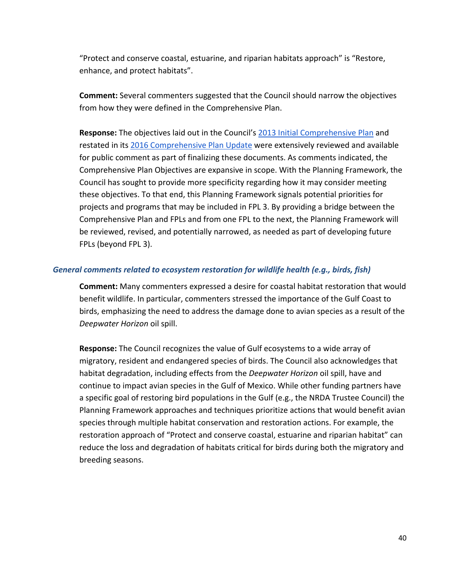"Protect and conserve coastal, estuarine, and riparian habitats approach" is "Restore, enhance, and protect habitats".

**Comment:** Several commenters suggested that the Council should narrow the objectives from how they were defined in the Comprehensive Plan.

Response: The objectives laid out in the Council's [2013 Initial Comprehensive Plan](https://www.restorethegulf.gov/sites/default/files/Initial%20Comprehensive%20Plan%20Aug%202013.pdf.) and restated in its [2016 Comprehensive Plan](https://www.restorethegulf.gov/sites/default/files/CO-PL_20161208_CompPlanUpdate_English.pdf.) [Update](https://www.restorethegulf.gov/sites/default/files/CO-PL_20161208_CompPlanUpdate_English.pdf.) were extensively reviewed and available for public comment as part of finalizing these documents. As comments indicated, the Comprehensive Plan Objectives are expansive in scope. With the Planning Framework, the Council has sought to provide more specificity regarding how it may consider meeting these objectives. To that end, this Planning Framework signals potential priorities for projects and programs that may be included in FPL 3. By providing a bridge between the Comprehensive Plan and FPLs and from one FPL to the next, the Planning Framework will be reviewed, revised, and potentially narrowed, as needed as part of developing future FPLs (beyond FPL 3).

# <span id="page-40-0"></span>*General comments related to ecosystem restoration for wildlife health (e.g., birds, fish)*

**Comment:** Many commenters expressed a desire for coastal habitat restoration that would benefit wildlife. In particular, commenters stressed the importance of the Gulf Coast to birds, emphasizing the need to address the damage done to avian species as a result of the *Deepwater Horizon* oil spill.

**Response:** The Council recognizes the value of Gulf ecosystems to a wide array of migratory, resident and endangered species of birds. The Council also acknowledges that habitat degradation, including effects from the *Deepwater Horizon* oil spill, have and continue to impact avian species in the Gulf of Mexico. While other funding partners have a specific goal of restoring bird populations in the Gulf (e.g., the NRDA Trustee Council) the Planning Framework approaches and techniques prioritize actions that would benefit avian species through multiple habitat conservation and restoration actions. For example, the restoration approach of "Protect and conserve coastal, estuarine and riparian habitat" can reduce the loss and degradation of habitats critical for birds during both the migratory and breeding seasons.